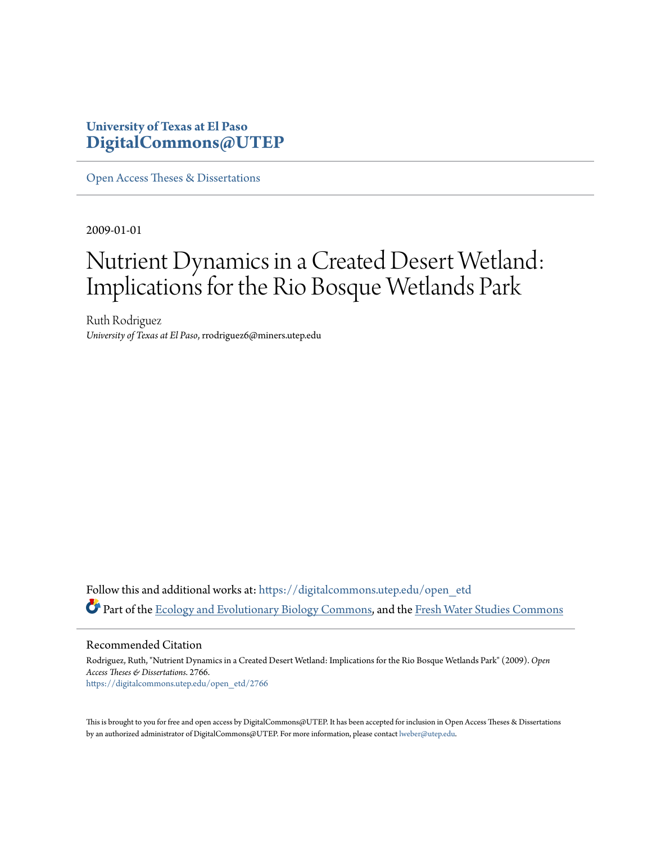## **University of Texas at El Paso [DigitalCommons@UTEP](https://digitalcommons.utep.edu/?utm_source=digitalcommons.utep.edu%2Fopen_etd%2F2766&utm_medium=PDF&utm_campaign=PDFCoverPages)**

[Open Access Theses & Dissertations](https://digitalcommons.utep.edu/open_etd?utm_source=digitalcommons.utep.edu%2Fopen_etd%2F2766&utm_medium=PDF&utm_campaign=PDFCoverPages)

2009-01-01

# Nutrient Dynamics in a Created Desert Wetland: Implications for the Rio Bosque Wetlands Park

Ruth Rodriguez *University of Texas at El Paso*, rrodriguez6@miners.utep.edu

Follow this and additional works at: [https://digitalcommons.utep.edu/open\\_etd](https://digitalcommons.utep.edu/open_etd?utm_source=digitalcommons.utep.edu%2Fopen_etd%2F2766&utm_medium=PDF&utm_campaign=PDFCoverPages) Part of the [Ecology and Evolutionary Biology Commons](http://network.bepress.com/hgg/discipline/14?utm_source=digitalcommons.utep.edu%2Fopen_etd%2F2766&utm_medium=PDF&utm_campaign=PDFCoverPages), and the [Fresh Water Studies Commons](http://network.bepress.com/hgg/discipline/189?utm_source=digitalcommons.utep.edu%2Fopen_etd%2F2766&utm_medium=PDF&utm_campaign=PDFCoverPages)

Recommended Citation

Rodriguez, Ruth, "Nutrient Dynamics in a Created Desert Wetland: Implications for the Rio Bosque Wetlands Park" (2009). *Open Access Theses & Dissertations*. 2766. [https://digitalcommons.utep.edu/open\\_etd/2766](https://digitalcommons.utep.edu/open_etd/2766?utm_source=digitalcommons.utep.edu%2Fopen_etd%2F2766&utm_medium=PDF&utm_campaign=PDFCoverPages)

This is brought to you for free and open access by DigitalCommons@UTEP. It has been accepted for inclusion in Open Access Theses & Dissertations by an authorized administrator of DigitalCommons@UTEP. For more information, please contact [lweber@utep.edu.](mailto:lweber@utep.edu)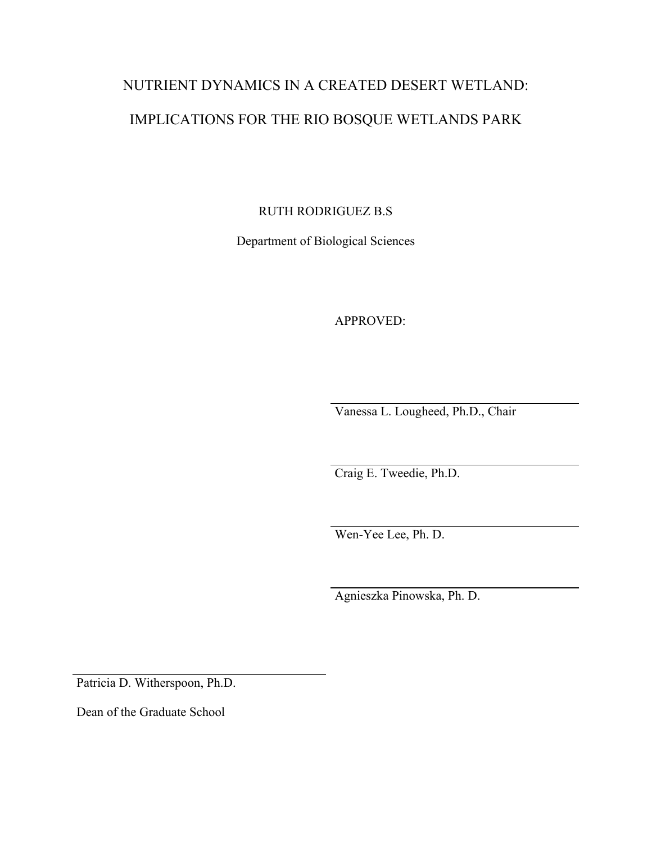# NUTRIENT DYNAMICS IN A CREATED DESERT WETLAND: IMPLICATIONS FOR THE RIO BOSQUE WETLANDS PARK

RUTH RODRIGUEZ B.S

Department of Biological Sciences

APPROVED:

Vanessa L. Lougheed, Ph.D., Chair

Craig E. Tweedie, Ph.D.

Wen-Yee Lee, Ph. D.

Agnieszka Pinowska, Ph. D.

Patricia D. Witherspoon, Ph.D.

Dean of the Graduate School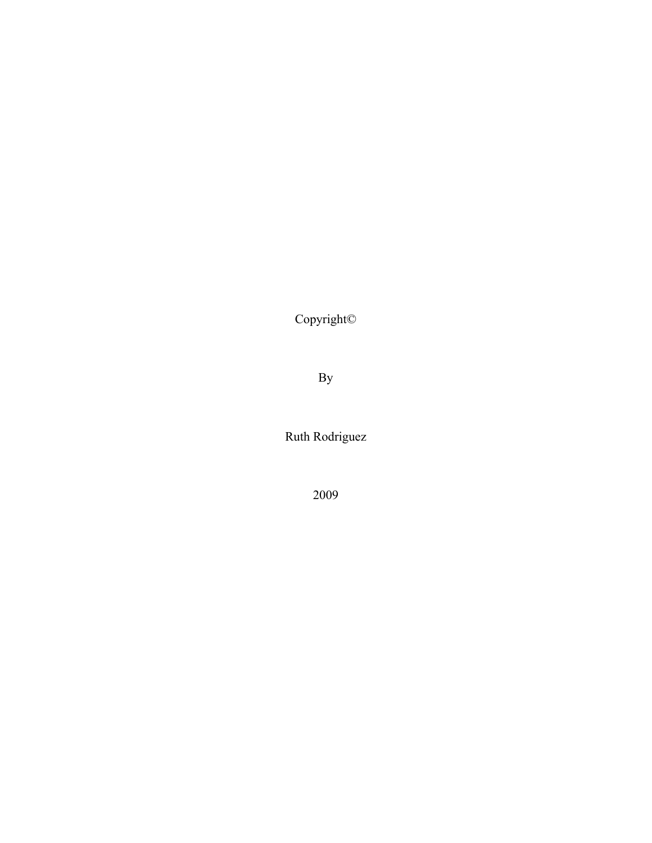Copyright©

By

Ruth Rodriguez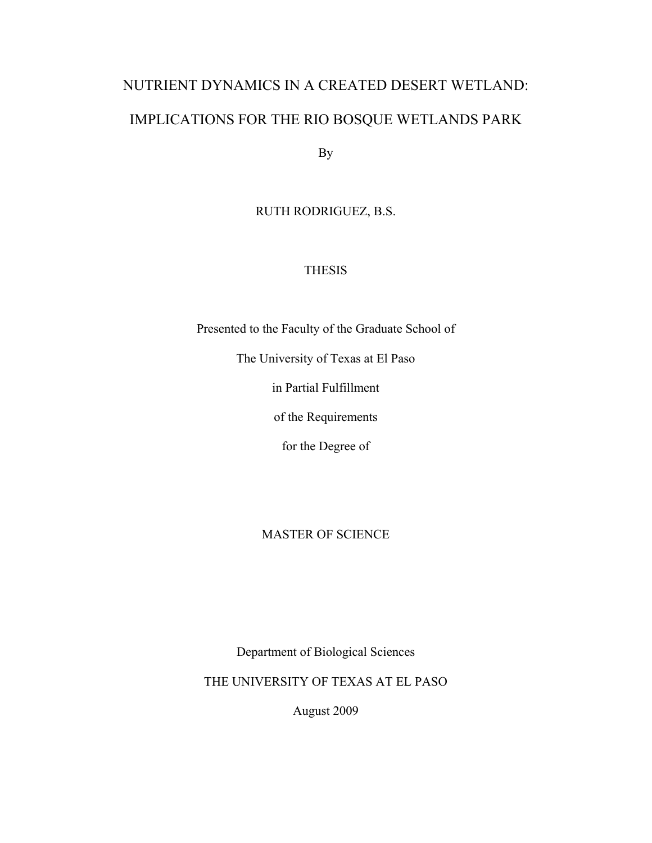# NUTRIENT DYNAMICS IN A CREATED DESERT WETLAND: IMPLICATIONS FOR THE RIO BOSQUE WETLANDS PARK

By

## RUTH RODRIGUEZ, B.S.

## **THESIS**

Presented to the Faculty of the Graduate School of

The University of Texas at El Paso

in Partial Fulfillment

of the Requirements

for the Degree of

## MASTER OF SCIENCE

Department of Biological Sciences

THE UNIVERSITY OF TEXAS AT EL PASO

August 2009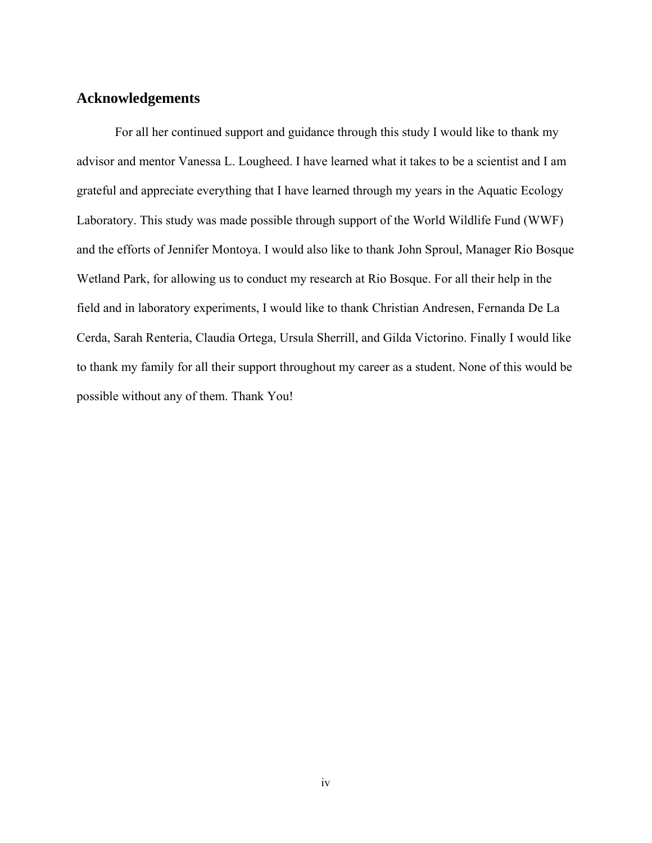## **Acknowledgements**

For all her continued support and guidance through this study I would like to thank my advisor and mentor Vanessa L. Lougheed. I have learned what it takes to be a scientist and I am grateful and appreciate everything that I have learned through my years in the Aquatic Ecology Laboratory. This study was made possible through support of the World Wildlife Fund (WWF) and the efforts of Jennifer Montoya. I would also like to thank John Sproul, Manager Rio Bosque Wetland Park, for allowing us to conduct my research at Rio Bosque. For all their help in the field and in laboratory experiments, I would like to thank Christian Andresen, Fernanda De La Cerda, Sarah Renteria, Claudia Ortega, Ursula Sherrill, and Gilda Victorino. Finally I would like to thank my family for all their support throughout my career as a student. None of this would be possible without any of them. Thank You!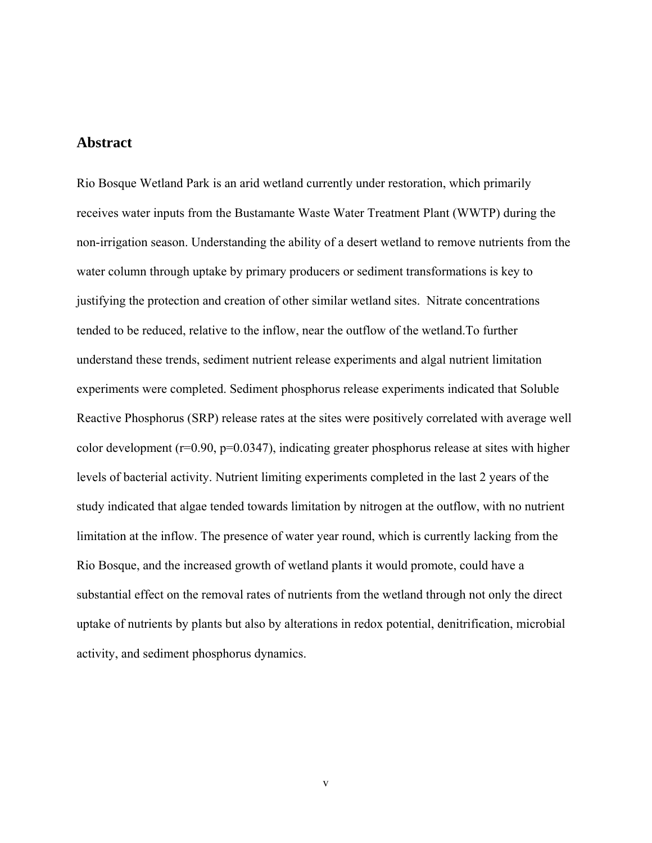### **Abstract**

Rio Bosque Wetland Park is an arid wetland currently under restoration, which primarily receives water inputs from the Bustamante Waste Water Treatment Plant (WWTP) during the non-irrigation season. Understanding the ability of a desert wetland to remove nutrients from the water column through uptake by primary producers or sediment transformations is key to justifying the protection and creation of other similar wetland sites. Nitrate concentrations tended to be reduced, relative to the inflow, near the outflow of the wetland.To further understand these trends, sediment nutrient release experiments and algal nutrient limitation experiments were completed. Sediment phosphorus release experiments indicated that Soluble Reactive Phosphorus (SRP) release rates at the sites were positively correlated with average well color development (r=0.90, p=0.0347), indicating greater phosphorus release at sites with higher levels of bacterial activity. Nutrient limiting experiments completed in the last 2 years of the study indicated that algae tended towards limitation by nitrogen at the outflow, with no nutrient limitation at the inflow. The presence of water year round, which is currently lacking from the Rio Bosque, and the increased growth of wetland plants it would promote, could have a substantial effect on the removal rates of nutrients from the wetland through not only the direct uptake of nutrients by plants but also by alterations in redox potential, denitrification, microbial activity, and sediment phosphorus dynamics.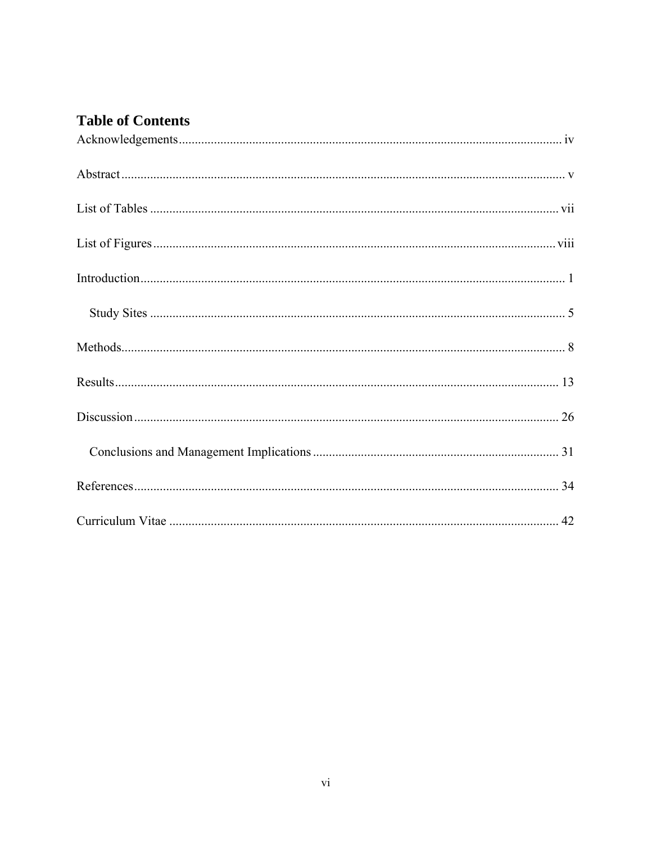# **Table of Contents**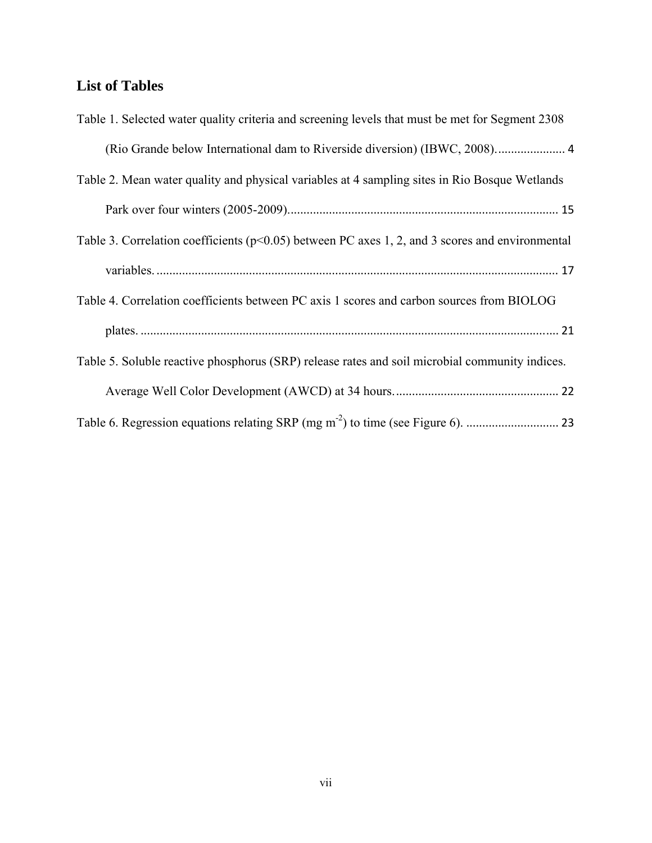# **List of Tables**

| Table 1. Selected water quality criteria and screening levels that must be met for Segment 2308     |
|-----------------------------------------------------------------------------------------------------|
|                                                                                                     |
| Table 2. Mean water quality and physical variables at 4 sampling sites in Rio Bosque Wetlands       |
|                                                                                                     |
| Table 3. Correlation coefficients ( $p<0.05$ ) between PC axes 1, 2, and 3 scores and environmental |
|                                                                                                     |
| Table 4. Correlation coefficients between PC axis 1 scores and carbon sources from BIOLOG           |
|                                                                                                     |
| Table 5. Soluble reactive phosphorus (SRP) release rates and soil microbial community indices.      |
|                                                                                                     |
|                                                                                                     |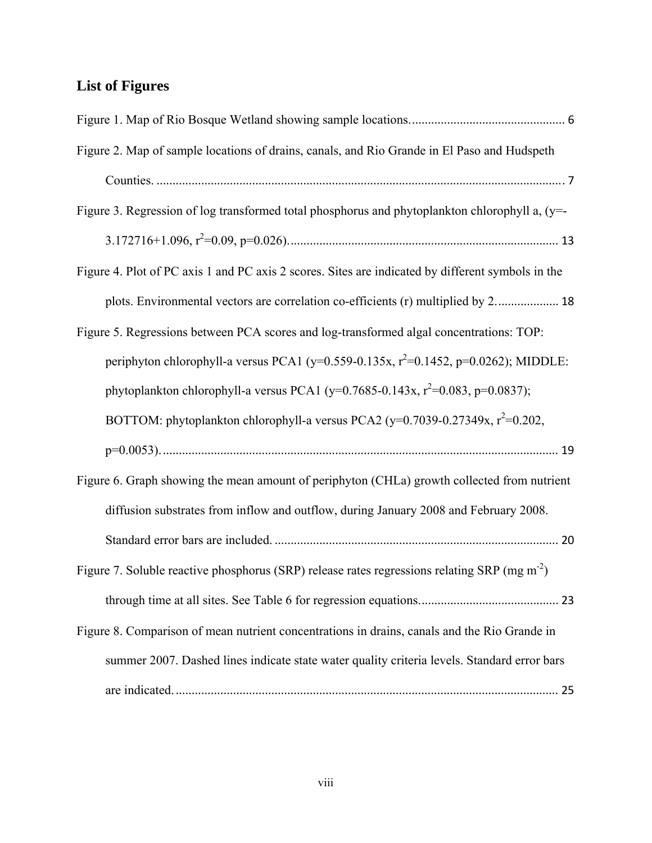# **List of Figures**

| Figure 2. Map of sample locations of drains, canals, and Rio Grande in El Paso and Hudspeth              |
|----------------------------------------------------------------------------------------------------------|
|                                                                                                          |
| Figure 3. Regression of log transformed total phosphorus and phytoplankton chlorophyll a, (y=-           |
|                                                                                                          |
| Figure 4. Plot of PC axis 1 and PC axis 2 scores. Sites are indicated by different symbols in the        |
| plots. Environmental vectors are correlation co-efficients (r) multiplied by 2 18                        |
| Figure 5. Regressions between PCA scores and log-transformed algal concentrations: TOP:                  |
| periphyton chlorophyll-a versus PCA1 (y=0.559-0.135x, $r^2$ =0.1452, p=0.0262); MIDDLE:                  |
| phytoplankton chlorophyll-a versus PCA1 (y=0.7685-0.143x, $r^2$ =0.083, p=0.0837);                       |
| BOTTOM: phytoplankton chlorophyll-a versus PCA2 (y=0.7039-0.27349x, $r^2$ =0.202,                        |
|                                                                                                          |
| Figure 6. Graph showing the mean amount of periphyton (CHLa) growth collected from nutrient              |
| diffusion substrates from inflow and outflow, during January 2008 and February 2008.                     |
|                                                                                                          |
| Figure 7. Soluble reactive phosphorus (SRP) release rates regressions relating SRP (mg m <sup>-2</sup> ) |
|                                                                                                          |
| Figure 8. Comparison of mean nutrient concentrations in drains, canals and the Rio Grande in             |
| summer 2007. Dashed lines indicate state water quality criteria levels. Standard error bars              |
|                                                                                                          |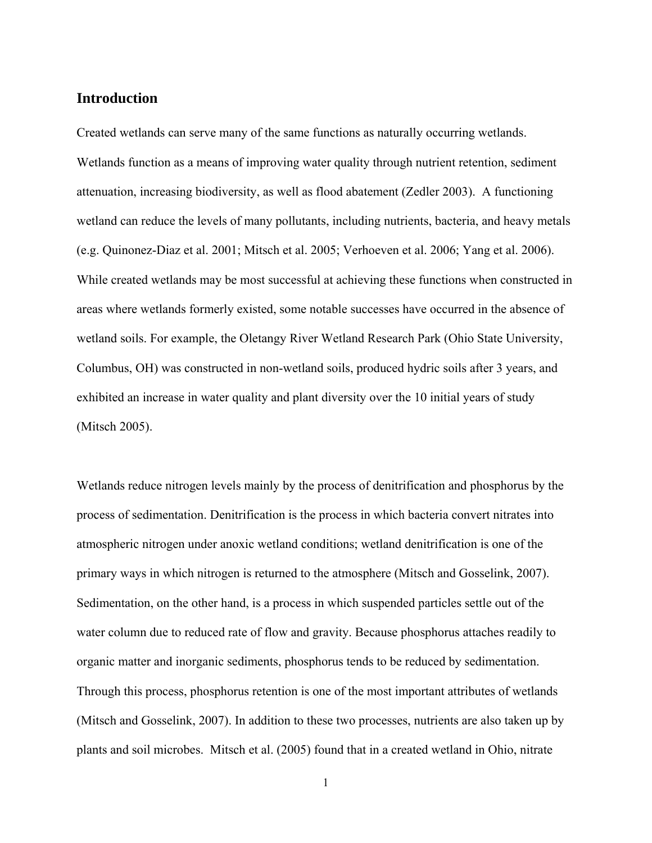### **Introduction**

Created wetlands can serve many of the same functions as naturally occurring wetlands. Wetlands function as a means of improving water quality through nutrient retention, sediment attenuation, increasing biodiversity, as well as flood abatement (Zedler 2003). A functioning wetland can reduce the levels of many pollutants, including nutrients, bacteria, and heavy metals (e.g. Quinonez-Diaz et al. 2001; Mitsch et al. 2005; Verhoeven et al. 2006; Yang et al. 2006). While created wetlands may be most successful at achieving these functions when constructed in areas where wetlands formerly existed, some notable successes have occurred in the absence of wetland soils. For example, the Oletangy River Wetland Research Park (Ohio State University, Columbus, OH) was constructed in non-wetland soils, produced hydric soils after 3 years, and exhibited an increase in water quality and plant diversity over the 10 initial years of study (Mitsch 2005).

Wetlands reduce nitrogen levels mainly by the process of denitrification and phosphorus by the process of sedimentation. Denitrification is the process in which bacteria convert nitrates into atmospheric nitrogen under anoxic wetland conditions; wetland denitrification is one of the primary ways in which nitrogen is returned to the atmosphere (Mitsch and Gosselink, 2007). Sedimentation, on the other hand, is a process in which suspended particles settle out of the water column due to reduced rate of flow and gravity. Because phosphorus attaches readily to organic matter and inorganic sediments, phosphorus tends to be reduced by sedimentation. Through this process, phosphorus retention is one of the most important attributes of wetlands (Mitsch and Gosselink, 2007). In addition to these two processes, nutrients are also taken up by plants and soil microbes. Mitsch et al. (2005) found that in a created wetland in Ohio, nitrate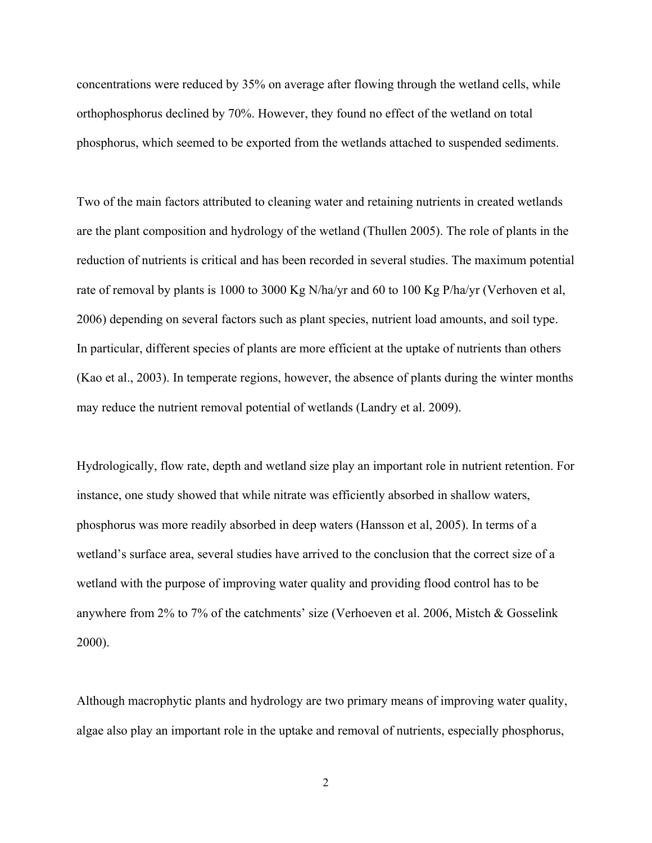concentrations were reduced by 35% on average after flowing through the wetland cells, while orthophosphorus declined by 70%. However, they found no effect of the wetland on total phosphorus, which seemed to be exported from the wetlands attached to suspended sediments.

Two of the main factors attributed to cleaning water and retaining nutrients in created wetlands are the plant composition and hydrology of the wetland (Thullen 2005). The role of plants in the reduction of nutrients is critical and has been recorded in several studies. The maximum potential rate of removal by plants is 1000 to 3000 Kg N/ha/yr and 60 to 100 Kg P/ha/yr (Verhoven et al, 2006) depending on several factors such as plant species, nutrient load amounts, and soil type. In particular, different species of plants are more efficient at the uptake of nutrients than others (Kao et al., 2003). In temperate regions, however, the absence of plants during the winter months may reduce the nutrient removal potential of wetlands (Landry et al. 2009).

Hydrologically, flow rate, depth and wetland size play an important role in nutrient retention. For instance, one study showed that while nitrate was efficiently absorbed in shallow waters, phosphorus was more readily absorbed in deep waters (Hansson et al, 2005). In terms of a wetland's surface area, several studies have arrived to the conclusion that the correct size of a wetland with the purpose of improving water quality and providing flood control has to be anywhere from 2% to 7% of the catchments' size (Verhoeven et al. 2006, Mistch & Gosselink 2000).

Although macrophytic plants and hydrology are two primary means of improving water quality, algae also play an important role in the uptake and removal of nutrients, especially phosphorus,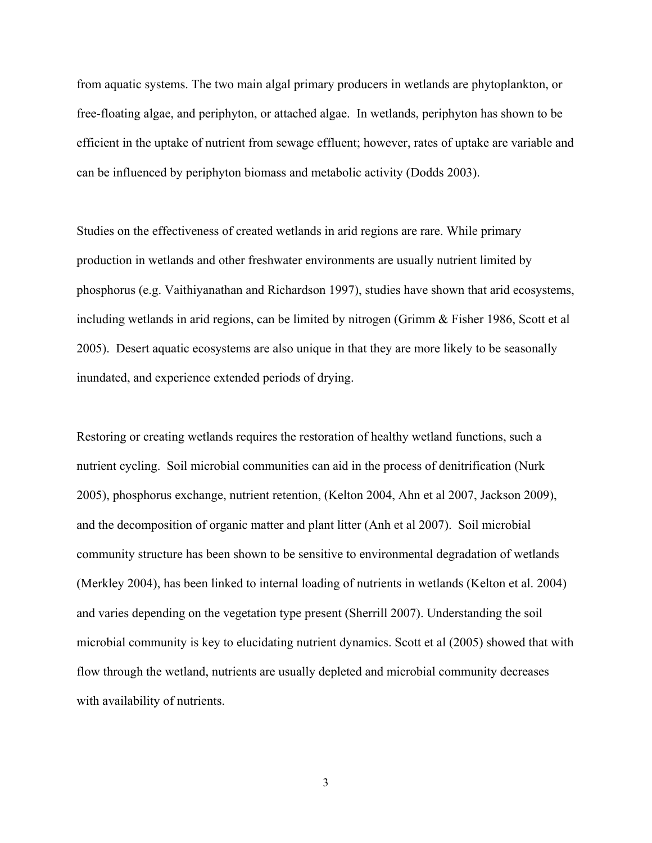from aquatic systems. The two main algal primary producers in wetlands are phytoplankton, or free-floating algae, and periphyton, or attached algae. In wetlands, periphyton has shown to be efficient in the uptake of nutrient from sewage effluent; however, rates of uptake are variable and can be influenced by periphyton biomass and metabolic activity (Dodds 2003).

Studies on the effectiveness of created wetlands in arid regions are rare. While primary production in wetlands and other freshwater environments are usually nutrient limited by phosphorus (e.g. Vaithiyanathan and Richardson 1997), studies have shown that arid ecosystems, including wetlands in arid regions, can be limited by nitrogen (Grimm & Fisher 1986, Scott et al 2005). Desert aquatic ecosystems are also unique in that they are more likely to be seasonally inundated, and experience extended periods of drying.

Restoring or creating wetlands requires the restoration of healthy wetland functions, such a nutrient cycling. Soil microbial communities can aid in the process of denitrification (Nurk 2005), phosphorus exchange, nutrient retention, (Kelton 2004, Ahn et al 2007, Jackson 2009), and the decomposition of organic matter and plant litter (Anh et al 2007). Soil microbial community structure has been shown to be sensitive to environmental degradation of wetlands (Merkley 2004), has been linked to internal loading of nutrients in wetlands (Kelton et al. 2004) and varies depending on the vegetation type present (Sherrill 2007). Understanding the soil microbial community is key to elucidating nutrient dynamics. Scott et al (2005) showed that with flow through the wetland, nutrients are usually depleted and microbial community decreases with availability of nutrients.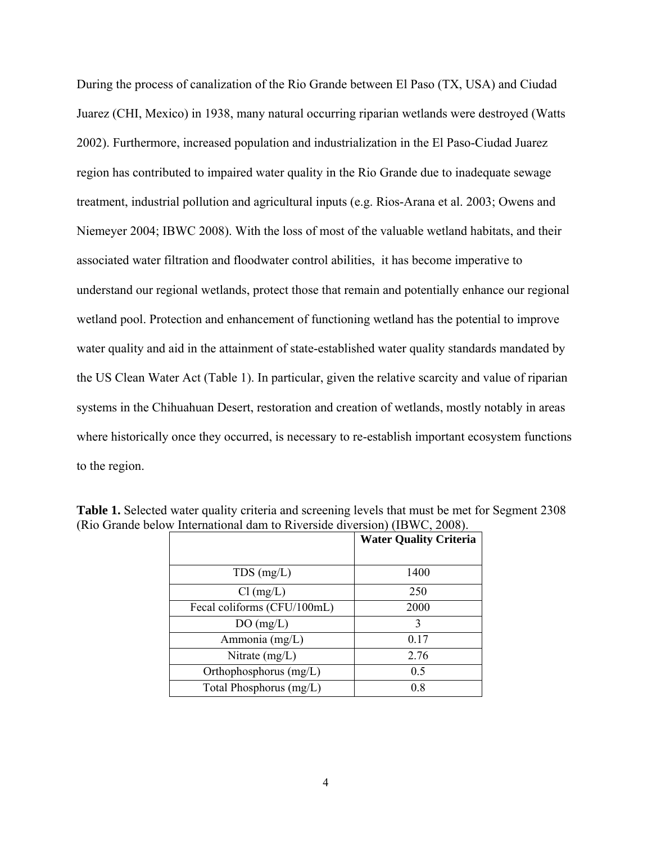During the process of canalization of the Rio Grande between El Paso (TX, USA) and Ciudad Juarez (CHI, Mexico) in 1938, many natural occurring riparian wetlands were destroyed (Watts 2002). Furthermore, increased population and industrialization in the El Paso-Ciudad Juarez region has contributed to impaired water quality in the Rio Grande due to inadequate sewage treatment, industrial pollution and agricultural inputs (e.g. Rios-Arana et al. 2003; Owens and Niemeyer 2004; IBWC 2008). With the loss of most of the valuable wetland habitats, and their associated water filtration and floodwater control abilities, it has become imperative to understand our regional wetlands, protect those that remain and potentially enhance our regional wetland pool. Protection and enhancement of functioning wetland has the potential to improve water quality and aid in the attainment of state-established water quality standards mandated by the US Clean Water Act (Table 1). In particular, given the relative scarcity and value of riparian systems in the Chihuahuan Desert, restoration and creation of wetlands, mostly notably in areas where historically once they occurred, is necessary to re-establish important ecosystem functions to the region.

|                             | <b>Water Quality Criteria</b> |
|-----------------------------|-------------------------------|
| $TDS$ (mg/L)                | 1400                          |
| $Cl$ (mg/L)                 | 250                           |
| Fecal coliforms (CFU/100mL) | 2000                          |
| DO(mg/L)                    | 3                             |
| Ammonia (mg/L)              | 0.17                          |
| Nitrate $(mg/L)$            | 2.76                          |
| Orthophosphorus $(mg/L)$    | 0.5                           |
| Total Phosphorus (mg/L)     | 0.8                           |

**Table 1.** Selected water quality criteria and screening levels that must be met for Segment 2308 (Rio Grande below International dam to Riverside diversion) (IBWC, 2008).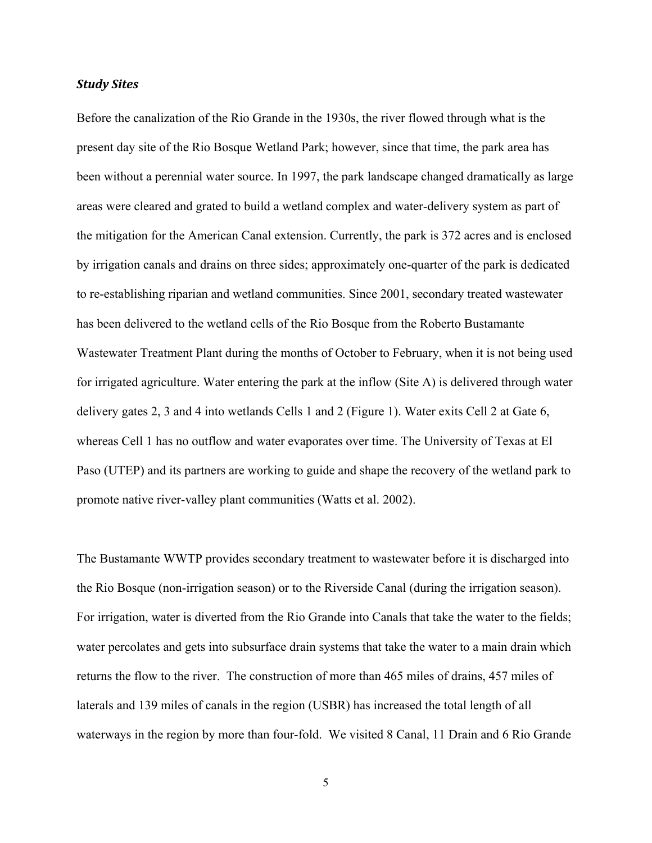#### *Study Sites*

Before the canalization of the Rio Grande in the 1930s, the river flowed through what is the present day site of the Rio Bosque Wetland Park; however, since that time, the park area has been without a perennial water source. In 1997, the park landscape changed dramatically as large areas were cleared and grated to build a wetland complex and water-delivery system as part of the mitigation for the American Canal extension. Currently, the park is 372 acres and is enclosed by irrigation canals and drains on three sides; approximately one-quarter of the park is dedicated to re-establishing riparian and wetland communities. Since 2001, secondary treated wastewater has been delivered to the wetland cells of the Rio Bosque from the Roberto Bustamante Wastewater Treatment Plant during the months of October to February, when it is not being used for irrigated agriculture. Water entering the park at the inflow (Site A) is delivered through water delivery gates 2, 3 and 4 into wetlands Cells 1 and 2 (Figure 1). Water exits Cell 2 at Gate 6, whereas Cell 1 has no outflow and water evaporates over time. The University of Texas at El Paso (UTEP) and its partners are working to guide and shape the recovery of the wetland park to promote native river-valley plant communities (Watts et al. 2002).

The Bustamante WWTP provides secondary treatment to wastewater before it is discharged into the Rio Bosque (non-irrigation season) or to the Riverside Canal (during the irrigation season). For irrigation, water is diverted from the Rio Grande into Canals that take the water to the fields; water percolates and gets into subsurface drain systems that take the water to a main drain which returns the flow to the river. The construction of more than 465 miles of drains, 457 miles of laterals and 139 miles of canals in the region (USBR) has increased the total length of all waterways in the region by more than four-fold. We visited 8 Canal, 11 Drain and 6 Rio Grande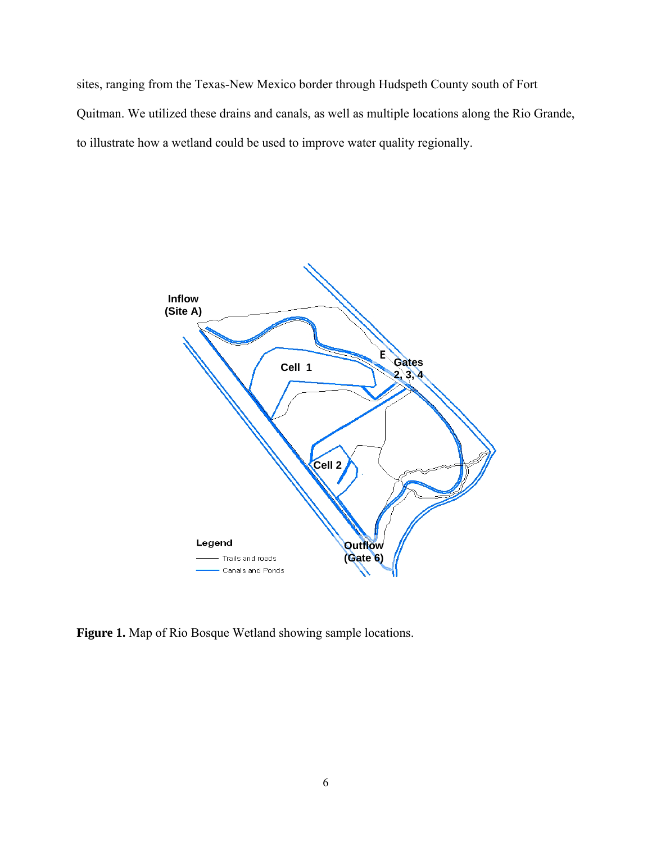sites, ranging from the Texas-New Mexico border through Hudspeth County south of Fort Quitman. We utilized these drains and canals, as well as multiple locations along the Rio Grande, to illustrate how a wetland could be used to improve water quality regionally.



**Figure 1.** Map of Rio Bosque Wetland showing sample locations.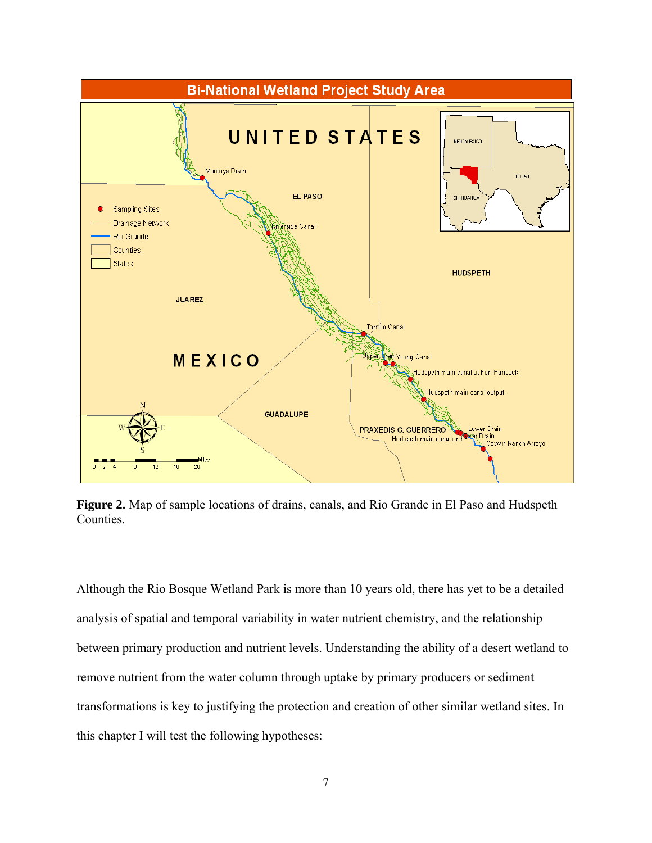

**Figure 2.** Map of sample locations of drains, canals, and Rio Grande in El Paso and Hudspeth Counties.

Although the Rio Bosque Wetland Park is more than 10 years old, there has yet to be a detailed analysis of spatial and temporal variability in water nutrient chemistry, and the relationship between primary production and nutrient levels. Understanding the ability of a desert wetland to remove nutrient from the water column through uptake by primary producers or sediment transformations is key to justifying the protection and creation of other similar wetland sites. In this chapter I will test the following hypotheses: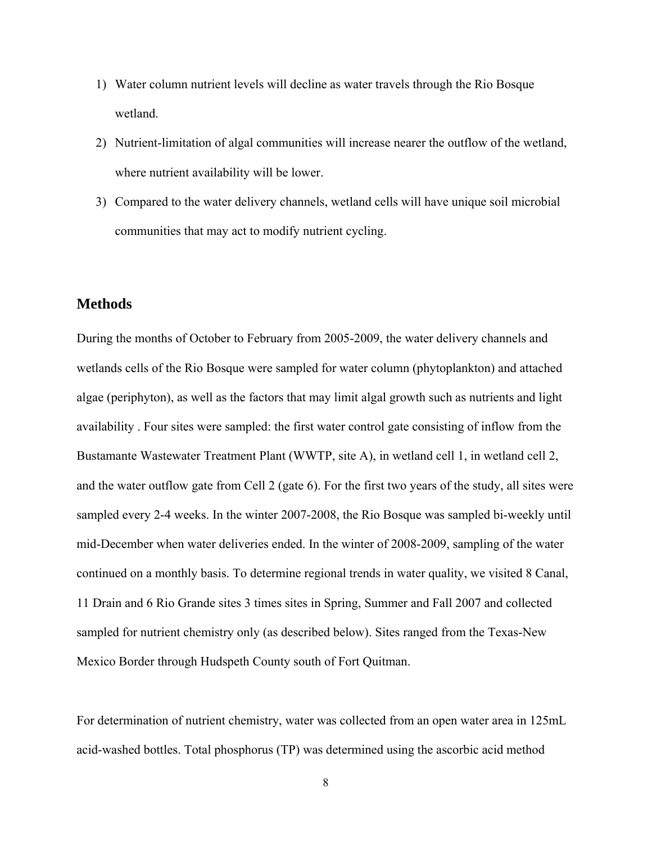- 1) Water column nutrient levels will decline as water travels through the Rio Bosque wetland.
- 2) Nutrient-limitation of algal communities will increase nearer the outflow of the wetland, where nutrient availability will be lower.
- 3) Compared to the water delivery channels, wetland cells will have unique soil microbial communities that may act to modify nutrient cycling.

#### **Methods**

During the months of October to February from 2005-2009, the water delivery channels and wetlands cells of the Rio Bosque were sampled for water column (phytoplankton) and attached algae (periphyton), as well as the factors that may limit algal growth such as nutrients and light availability . Four sites were sampled: the first water control gate consisting of inflow from the Bustamante Wastewater Treatment Plant (WWTP, site A), in wetland cell 1, in wetland cell 2, and the water outflow gate from Cell 2 (gate 6). For the first two years of the study, all sites were sampled every 2-4 weeks. In the winter 2007-2008, the Rio Bosque was sampled bi-weekly until mid-December when water deliveries ended. In the winter of 2008-2009, sampling of the water continued on a monthly basis. To determine regional trends in water quality, we visited 8 Canal, 11 Drain and 6 Rio Grande sites 3 times sites in Spring, Summer and Fall 2007 and collected sampled for nutrient chemistry only (as described below). Sites ranged from the Texas-New Mexico Border through Hudspeth County south of Fort Quitman.

For determination of nutrient chemistry, water was collected from an open water area in 125mL acid-washed bottles. Total phosphorus (TP) was determined using the ascorbic acid method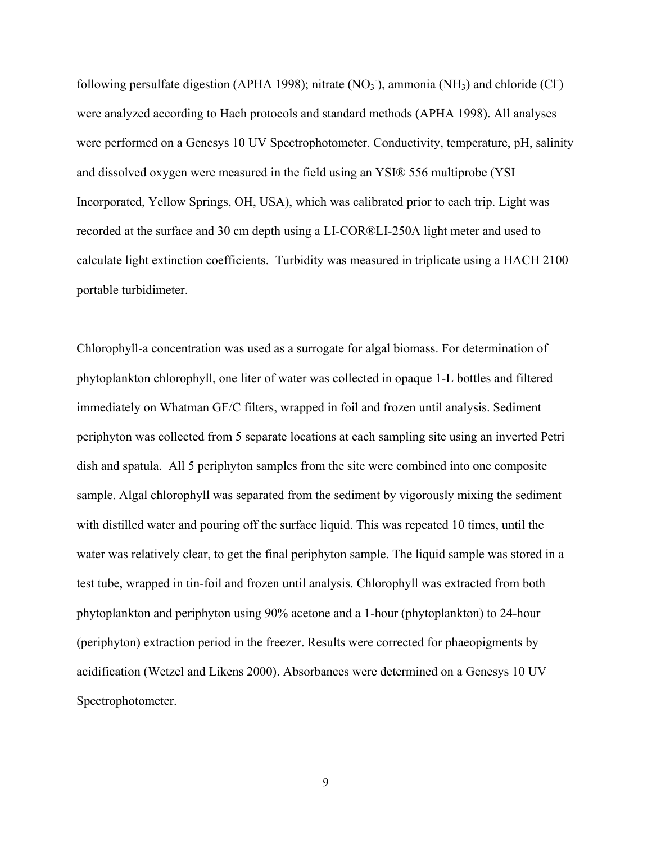following persulfate digestion (APHA 1998); nitrate  $(NO<sub>3</sub>$ <sup>-</sup>), ammonia  $(NH<sub>3</sub>)$  and chloride  $(Cl<sup>+</sup>)$ were analyzed according to Hach protocols and standard methods (APHA 1998). All analyses were performed on a Genesys 10 UV Spectrophotometer. Conductivity, temperature, pH, salinity and dissolved oxygen were measured in the field using an YSI® 556 multiprobe (YSI Incorporated, Yellow Springs, OH, USA), which was calibrated prior to each trip. Light was recorded at the surface and 30 cm depth using a LI-COR®LI-250A light meter and used to calculate light extinction coefficients. Turbidity was measured in triplicate using a HACH 2100 portable turbidimeter.

Chlorophyll-a concentration was used as a surrogate for algal biomass. For determination of phytoplankton chlorophyll, one liter of water was collected in opaque 1-L bottles and filtered immediately on Whatman GF/C filters, wrapped in foil and frozen until analysis. Sediment periphyton was collected from 5 separate locations at each sampling site using an inverted Petri dish and spatula. All 5 periphyton samples from the site were combined into one composite sample. Algal chlorophyll was separated from the sediment by vigorously mixing the sediment with distilled water and pouring off the surface liquid. This was repeated 10 times, until the water was relatively clear, to get the final periphyton sample. The liquid sample was stored in a test tube, wrapped in tin-foil and frozen until analysis. Chlorophyll was extracted from both phytoplankton and periphyton using 90% acetone and a 1-hour (phytoplankton) to 24-hour (periphyton) extraction period in the freezer. Results were corrected for phaeopigments by acidification (Wetzel and Likens 2000). Absorbances were determined on a Genesys 10 UV Spectrophotometer.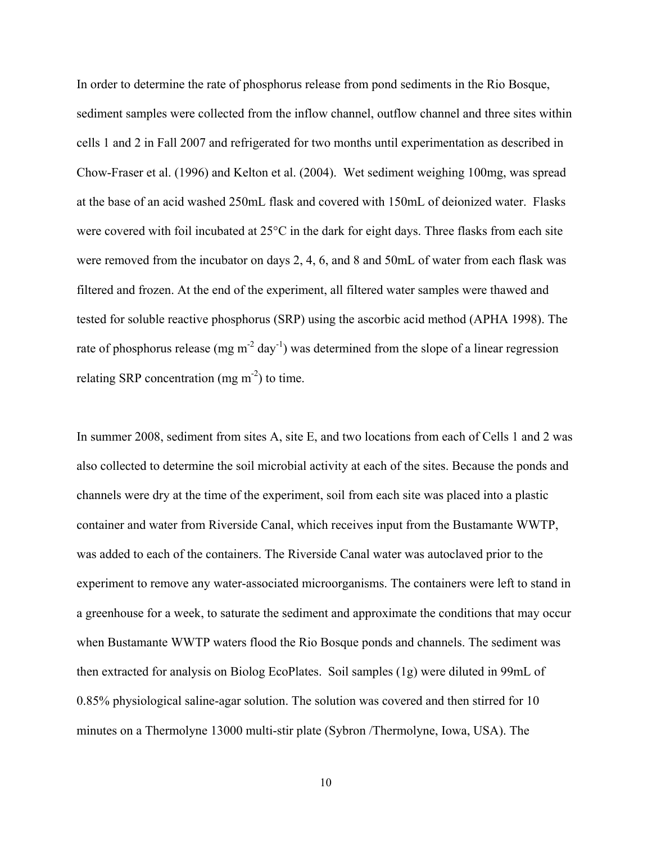In order to determine the rate of phosphorus release from pond sediments in the Rio Bosque, sediment samples were collected from the inflow channel, outflow channel and three sites within cells 1 and 2 in Fall 2007 and refrigerated for two months until experimentation as described in Chow-Fraser et al. (1996) and Kelton et al. (2004). Wet sediment weighing 100mg, was spread at the base of an acid washed 250mL flask and covered with 150mL of deionized water. Flasks were covered with foil incubated at 25°C in the dark for eight days. Three flasks from each site were removed from the incubator on days 2, 4, 6, and 8 and 50mL of water from each flask was filtered and frozen. At the end of the experiment, all filtered water samples were thawed and tested for soluble reactive phosphorus (SRP) using the ascorbic acid method (APHA 1998). The rate of phosphorus release (mg  $m^{-2}$  day<sup>-1</sup>) was determined from the slope of a linear regression relating SRP concentration (mg  $m<sup>2</sup>$ ) to time.

In summer 2008, sediment from sites A, site E, and two locations from each of Cells 1 and 2 was also collected to determine the soil microbial activity at each of the sites. Because the ponds and channels were dry at the time of the experiment, soil from each site was placed into a plastic container and water from Riverside Canal, which receives input from the Bustamante WWTP, was added to each of the containers. The Riverside Canal water was autoclaved prior to the experiment to remove any water-associated microorganisms. The containers were left to stand in a greenhouse for a week, to saturate the sediment and approximate the conditions that may occur when Bustamante WWTP waters flood the Rio Bosque ponds and channels. The sediment was then extracted for analysis on Biolog EcoPlates. Soil samples (1g) were diluted in 99mL of 0.85% physiological saline-agar solution. The solution was covered and then stirred for 10 minutes on a Thermolyne 13000 multi-stir plate (Sybron /Thermolyne, Iowa, USA). The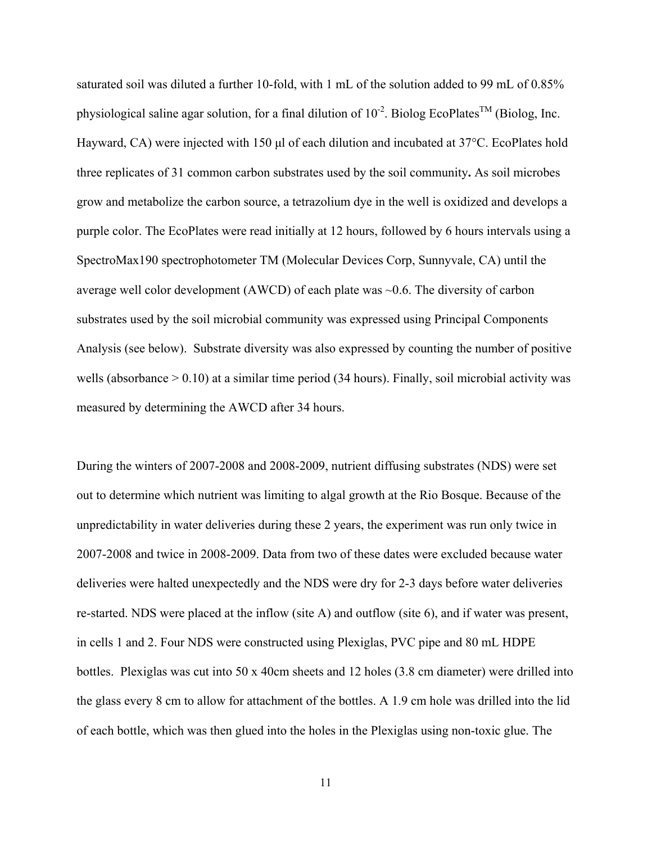saturated soil was diluted a further 10-fold, with 1 mL of the solution added to 99 mL of 0.85% physiological saline agar solution, for a final dilution of  $10^{-2}$ . Biolog EcoPlates<sup>TM</sup> (Biolog, Inc. Hayward, CA) were injected with 150 μl of each dilution and incubated at 37°C. EcoPlates hold three replicates of 31 common carbon substrates used by the soil community**.** As soil microbes grow and metabolize the carbon source, a tetrazolium dye in the well is oxidized and develops a purple color. The EcoPlates were read initially at 12 hours, followed by 6 hours intervals using a SpectroMax190 spectrophotometer TM (Molecular Devices Corp, Sunnyvale, CA) until the average well color development (AWCD) of each plate was ~0.6. The diversity of carbon substrates used by the soil microbial community was expressed using Principal Components Analysis (see below). Substrate diversity was also expressed by counting the number of positive wells (absorbance > 0.10) at a similar time period (34 hours). Finally, soil microbial activity was measured by determining the AWCD after 34 hours.

During the winters of 2007-2008 and 2008-2009, nutrient diffusing substrates (NDS) were set out to determine which nutrient was limiting to algal growth at the Rio Bosque. Because of the unpredictability in water deliveries during these 2 years, the experiment was run only twice in 2007-2008 and twice in 2008-2009. Data from two of these dates were excluded because water deliveries were halted unexpectedly and the NDS were dry for 2-3 days before water deliveries re-started. NDS were placed at the inflow (site A) and outflow (site 6), and if water was present, in cells 1 and 2. Four NDS were constructed using Plexiglas, PVC pipe and 80 mL HDPE bottles. Plexiglas was cut into 50 x 40cm sheets and 12 holes (3.8 cm diameter) were drilled into the glass every 8 cm to allow for attachment of the bottles. A 1.9 cm hole was drilled into the lid of each bottle, which was then glued into the holes in the Plexiglas using non-toxic glue. The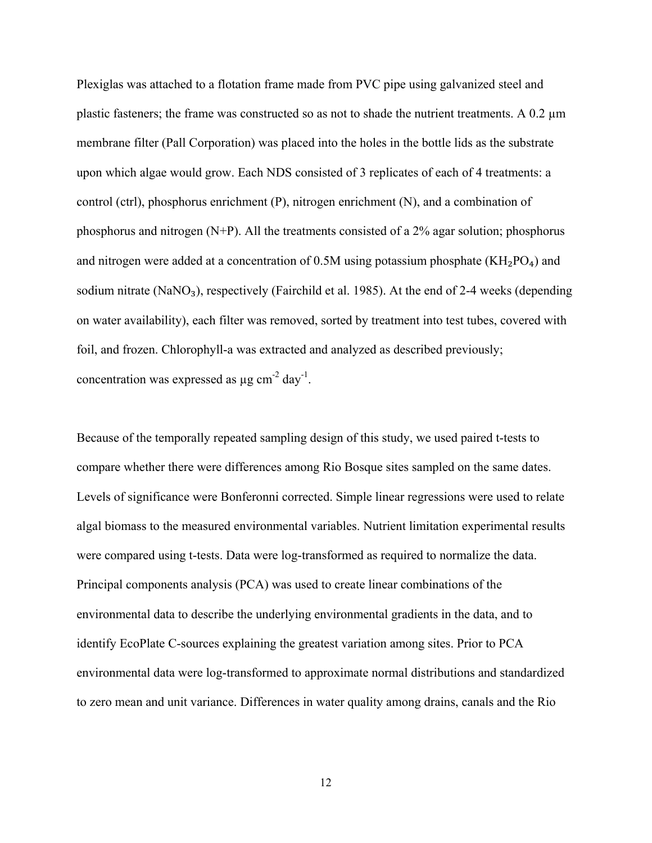Plexiglas was attached to a flotation frame made from PVC pipe using galvanized steel and plastic fasteners; the frame was constructed so as not to shade the nutrient treatments. A 0.2  $\mu$ m membrane filter (Pall Corporation) was placed into the holes in the bottle lids as the substrate upon which algae would grow. Each NDS consisted of 3 replicates of each of 4 treatments: a control (ctrl), phosphorus enrichment (P), nitrogen enrichment (N), and a combination of phosphorus and nitrogen (N+P). All the treatments consisted of a 2% agar solution; phosphorus and nitrogen were added at a concentration of 0.5M using potassium phosphate  $(KH_2PO_4)$  and sodium nitrate (NaNO<sub>3</sub>), respectively (Fairchild et al. 1985). At the end of 2-4 weeks (depending on water availability), each filter was removed, sorted by treatment into test tubes, covered with foil, and frozen. Chlorophyll-a was extracted and analyzed as described previously; concentration was expressed as  $\mu$ g cm<sup>-2</sup> day<sup>-1</sup>.

Because of the temporally repeated sampling design of this study, we used paired t-tests to compare whether there were differences among Rio Bosque sites sampled on the same dates. Levels of significance were Bonferonni corrected. Simple linear regressions were used to relate algal biomass to the measured environmental variables. Nutrient limitation experimental results were compared using t-tests. Data were log-transformed as required to normalize the data. Principal components analysis (PCA) was used to create linear combinations of the environmental data to describe the underlying environmental gradients in the data, and to identify EcoPlate C-sources explaining the greatest variation among sites. Prior to PCA environmental data were log-transformed to approximate normal distributions and standardized to zero mean and unit variance. Differences in water quality among drains, canals and the Rio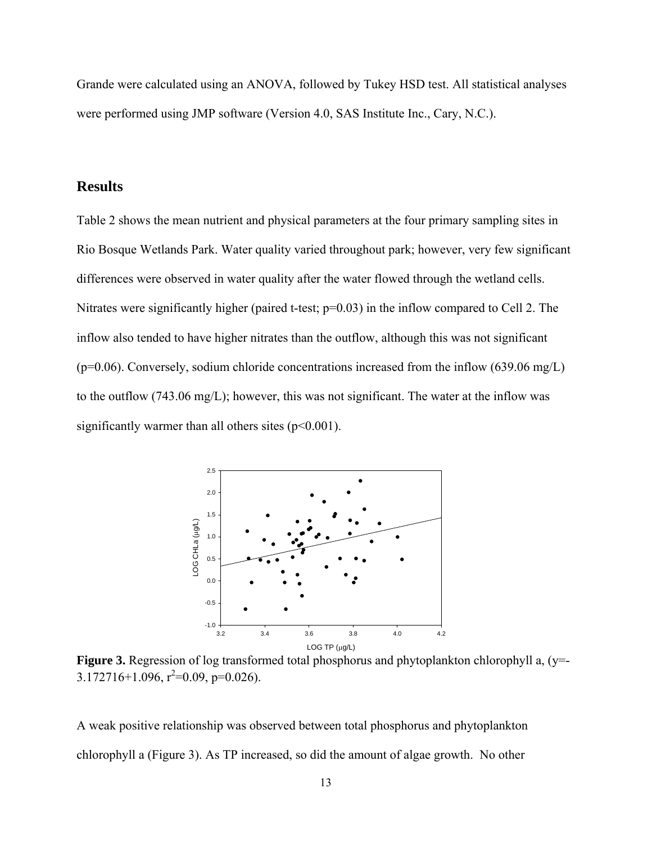Grande were calculated using an ANOVA, followed by Tukey HSD test. All statistical analyses were performed using JMP software (Version 4.0, SAS Institute Inc., Cary, N.C.).

## **Results**

Table 2 shows the mean nutrient and physical parameters at the four primary sampling sites in Rio Bosque Wetlands Park. Water quality varied throughout park; however, very few significant differences were observed in water quality after the water flowed through the wetland cells. Nitrates were significantly higher (paired t-test;  $p=0.03$ ) in the inflow compared to Cell 2. The inflow also tended to have higher nitrates than the outflow, although this was not significant  $(p=0.06)$ . Conversely, sodium chloride concentrations increased from the inflow (639.06 mg/L) to the outflow (743.06 mg/L); however, this was not significant. The water at the inflow was significantly warmer than all others sites  $(p<0.001)$ .



**Figure 3.** Regression of log transformed total phosphorus and phytoplankton chlorophyll a, (y=- $3.172716+1.096$ ,  $r^2=0.09$ ,  $p=0.026$ ).

A weak positive relationship was observed between total phosphorus and phytoplankton chlorophyll a (Figure 3). As TP increased, so did the amount of algae growth. No other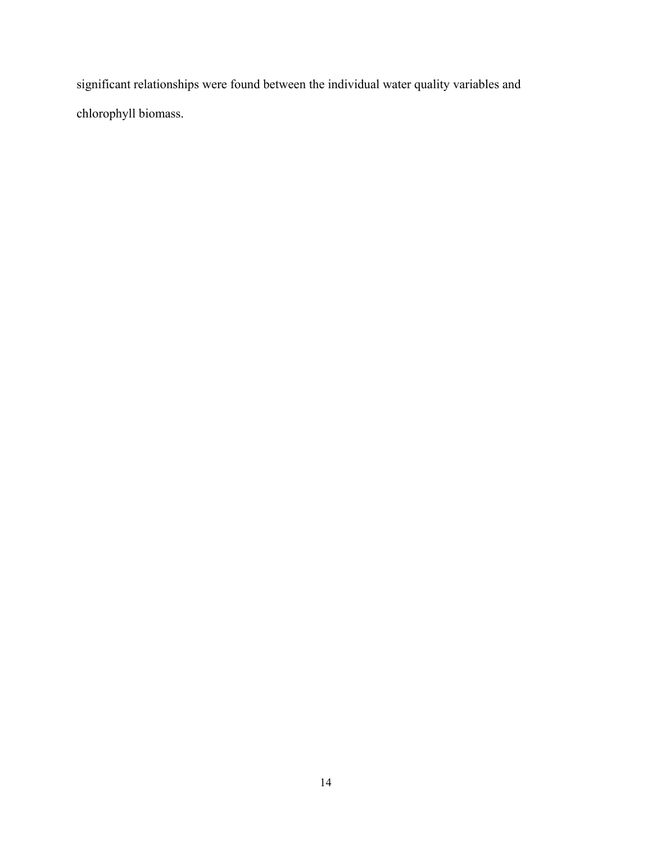significant relationships were found between the individual water quality variables and chlorophyll biomass.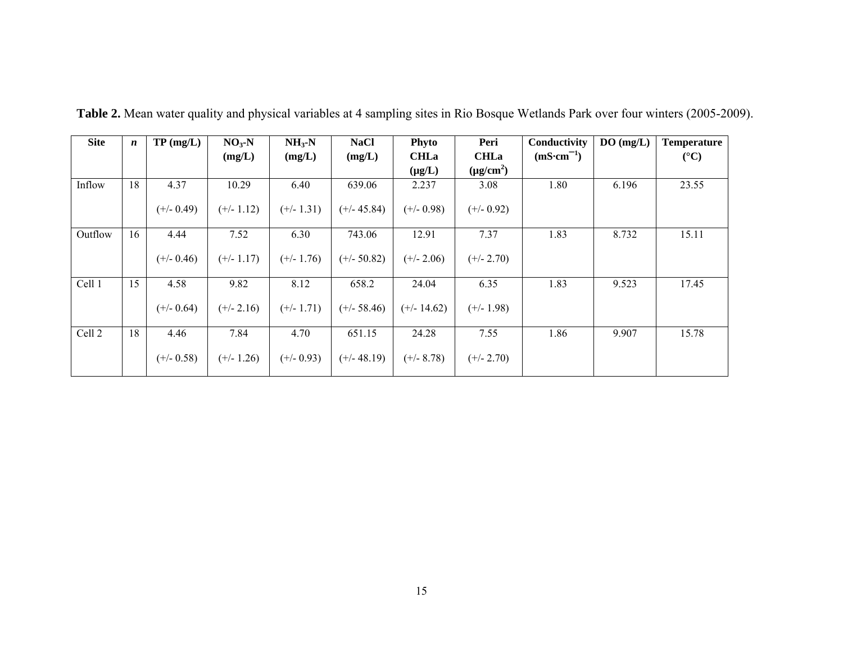| <b>Site</b> | $\boldsymbol{n}$ | TP(mg/L)     | $NO3$ -N     | $NH3-N$      | <b>NaCl</b>   | Phyto         | Peri           | Conductivity         | DO(mg/L) | <b>Temperature</b> |
|-------------|------------------|--------------|--------------|--------------|---------------|---------------|----------------|----------------------|----------|--------------------|
|             |                  |              | (mg/L)       | (mg/L)       | (mg/L)        | <b>CHLa</b>   | <b>CHLa</b>    | $(mS \cdot cm^{-1})$ |          | $({}^{\circ}C)$    |
|             |                  |              |              |              |               | $(\mu g/L)$   | $(\mu g/cm^2)$ |                      |          |                    |
| Inflow      | 18               | 4.37         | 10.29        | 6.40         | 639.06        | 2.237         | 3.08           | 1.80                 | 6.196    | 23.55              |
|             |                  | $(+/- 0.49)$ | $(+/- 1.12)$ | $(+/- 1.31)$ | $(+/- 45.84)$ | $(+/- 0.98)$  | $(+/- 0.92)$   |                      |          |                    |
| Outflow     | 16               | 4.44         | 7.52         | 6.30         | 743.06        | 12.91         | 7.37           | 1.83                 | 8.732    | 15.11              |
|             |                  | $(+/- 0.46)$ | $(+/- 1.17)$ | $(+/- 1.76)$ | $(+/- 50.82)$ | $(+/- 2.06)$  | $(+/- 2.70)$   |                      |          |                    |
| Cell 1      | 15               | 4.58         | 9.82         | 8.12         | 658.2         | 24.04         | 6.35           | 1.83                 | 9.523    | 17.45              |
|             |                  | $(+/- 0.64)$ | $(+/- 2.16)$ | $(+/- 1.71)$ | $(+/- 58.46)$ | $(+/- 14.62)$ | $(+/- 1.98)$   |                      |          |                    |
| Cell 2      | 18               | 4.46         | 7.84         | 4.70         | 651.15        | 24.28         | 7.55           | 1.86                 | 9.907    | 15.78              |
|             |                  | $(+/- 0.58)$ | $(+/- 1.26)$ | $(+/- 0.93)$ | $(+/- 48.19)$ | $(+/- 8.78)$  | $(+/- 2.70)$   |                      |          |                    |

**Table 2.** Mean water quality and physical variables at 4 sampling sites in Rio Bosque Wetlands Park over four winters (2005-2009).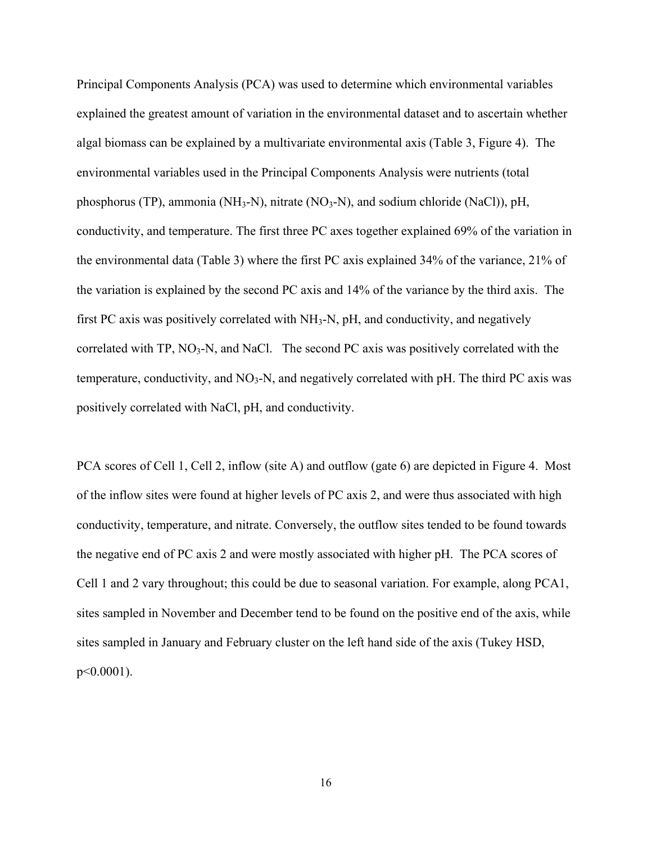Principal Components Analysis (PCA) was used to determine which environmental variables explained the greatest amount of variation in the environmental dataset and to ascertain whether algal biomass can be explained by a multivariate environmental axis (Table 3, Figure 4). The environmental variables used in the Principal Components Analysis were nutrients (total phosphorus (TP), ammonia (NH<sub>3</sub>-N), nitrate (NO<sub>3</sub>-N), and sodium chloride (NaCl)), pH, conductivity, and temperature. The first three PC axes together explained 69% of the variation in the environmental data (Table 3) where the first PC axis explained 34% of the variance, 21% of the variation is explained by the second PC axis and 14% of the variance by the third axis. The first PC axis was positively correlated with  $NH<sub>3</sub>-N$ , pH, and conductivity, and negatively correlated with  $TP$ ,  $NO<sub>3</sub>-N$ , and NaCl. The second PC axis was positively correlated with the temperature, conductivity, and  $NO<sub>3</sub>-N$ , and negatively correlated with pH. The third PC axis was positively correlated with NaCl, pH, and conductivity.

PCA scores of Cell 1, Cell 2, inflow (site A) and outflow (gate 6) are depicted in Figure 4. Most of the inflow sites were found at higher levels of PC axis 2, and were thus associated with high conductivity, temperature, and nitrate. Conversely, the outflow sites tended to be found towards the negative end of PC axis 2 and were mostly associated with higher pH. The PCA scores of Cell 1 and 2 vary throughout; this could be due to seasonal variation. For example, along PCA1, sites sampled in November and December tend to be found on the positive end of the axis, while sites sampled in January and February cluster on the left hand side of the axis (Tukey HSD, p<0.0001).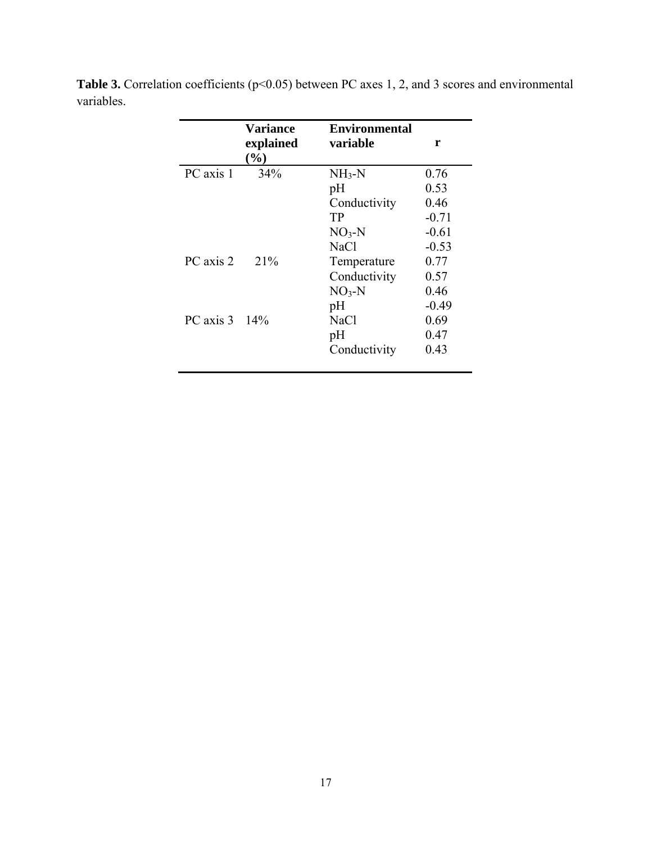|                        | <b>Variance</b> | <b>Environmental</b> |         |
|------------------------|-----------------|----------------------|---------|
|                        | explained       | variable             | r       |
|                        | $(\%)$          |                      |         |
| PC axis 1              | 34%             | $NH3-N$              | 0.76    |
|                        |                 | pH                   | 0.53    |
|                        |                 | Conductivity         | 0.46    |
|                        |                 | TР                   | $-0.71$ |
|                        |                 | $NO3-N$              | $-0.61$ |
|                        |                 | <b>NaCl</b>          | $-0.53$ |
| PC axis 2              | 21%             | Temperature          | 0.77    |
|                        |                 | Conductivity         | 0.57    |
|                        |                 | $NO3-N$              | 0.46    |
|                        |                 | pH                   | $-0.49$ |
| PC axis $3 \quad 14\%$ |                 | <b>NaCl</b>          | 0.69    |
|                        |                 | pH                   | 0.47    |
|                        |                 | Conductivity         | 0.43    |
|                        |                 |                      |         |

Table 3. Correlation coefficients (p<0.05) between PC axes 1, 2, and 3 scores and environmental variables.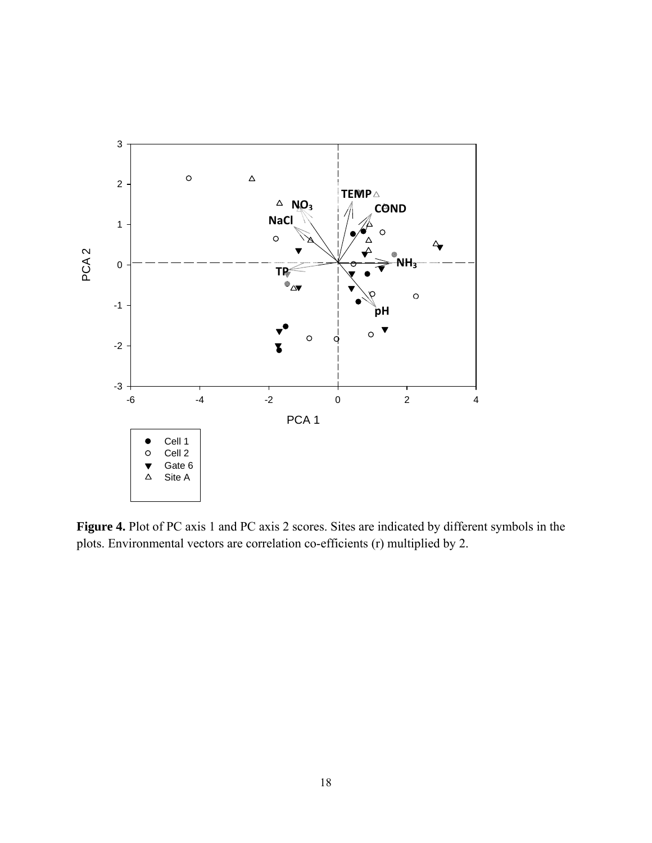

**Figure 4.** Plot of PC axis 1 and PC axis 2 scores. Sites are indicated by different symbols in the plots. Environmental vectors are correlation co-efficients (r) multiplied by 2.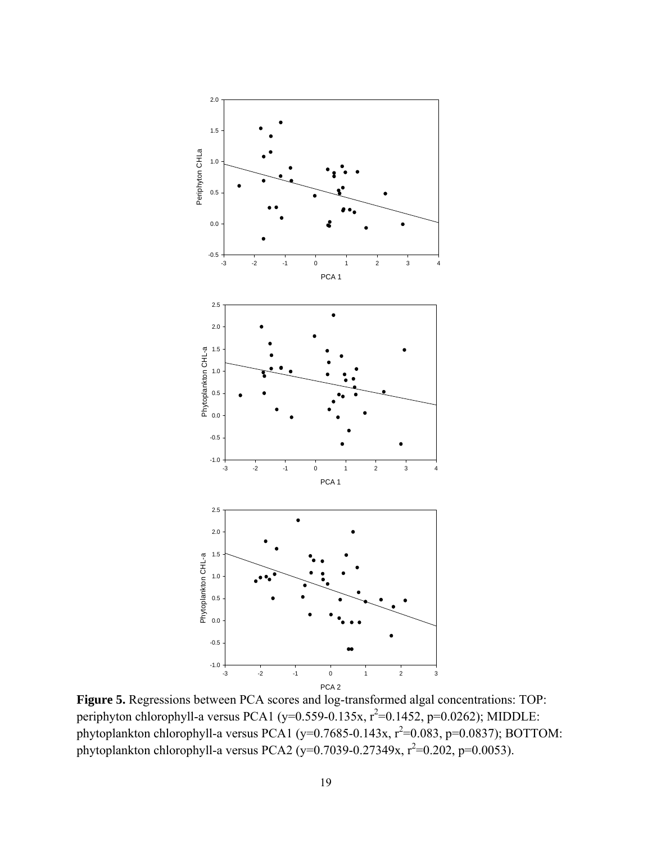

**Figure 5.** Regressions between PCA scores and log-transformed algal concentrations: TOP: periphyton chlorophyll-a versus PCA1 (y=0.559-0.135x,  $r^2$ =0.1452, p=0.0262); MIDDLE: phytoplankton chlorophyll-a versus PCA1 (y=0.7685-0.143x,  $r^2$ =0.083, p=0.0837); BOTTOM: phytoplankton chlorophyll-a versus PCA2 (y=0.7039-0.27349x,  $r^2$ =0.202, p=0.0053).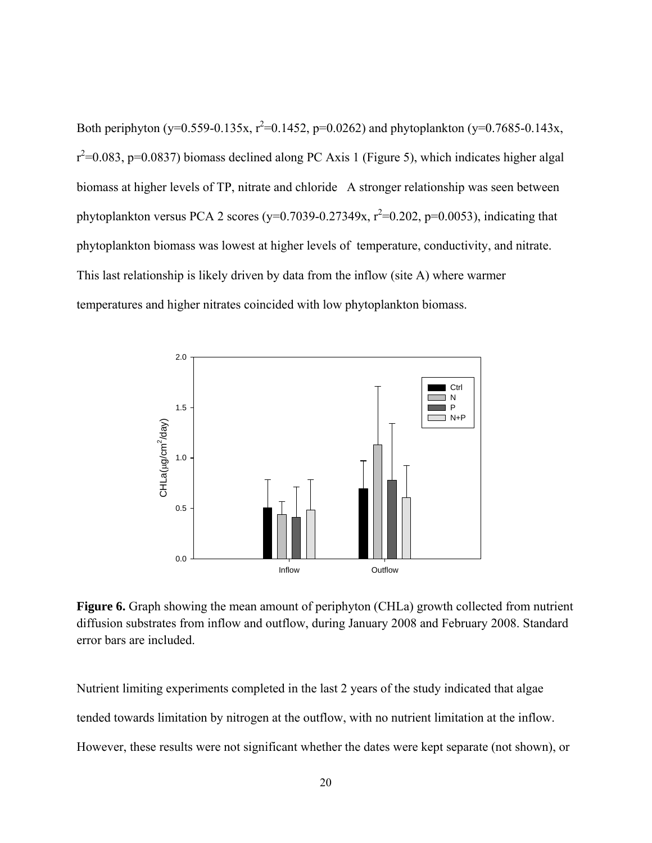Both periphyton (y=0.559-0.135x,  $r^2$ =0.1452, p=0.0262) and phytoplankton (y=0.7685-0.143x,  $r^2$ =0.083, p=0.0837) biomass declined along PC Axis 1 (Figure 5), which indicates higher algal biomass at higher levels of TP, nitrate and chloride A stronger relationship was seen between phytoplankton versus PCA 2 scores ( $y=0.7039 - 0.27349x$ ,  $r^2=0.202$ ,  $p=0.0053$ ), indicating that phytoplankton biomass was lowest at higher levels of temperature, conductivity, and nitrate. This last relationship is likely driven by data from the inflow (site A) where warmer temperatures and higher nitrates coincided with low phytoplankton biomass.



Figure 6. Graph showing the mean amount of periphyton (CHLa) growth collected from nutrient diffusion substrates from inflow and outflow, during January 2008 and February 2008. Standard error bars are included.

Nutrient limiting experiments completed in the last 2 years of the study indicated that algae tended towards limitation by nitrogen at the outflow, with no nutrient limitation at the inflow. However, these results were not significant whether the dates were kept separate (not shown), or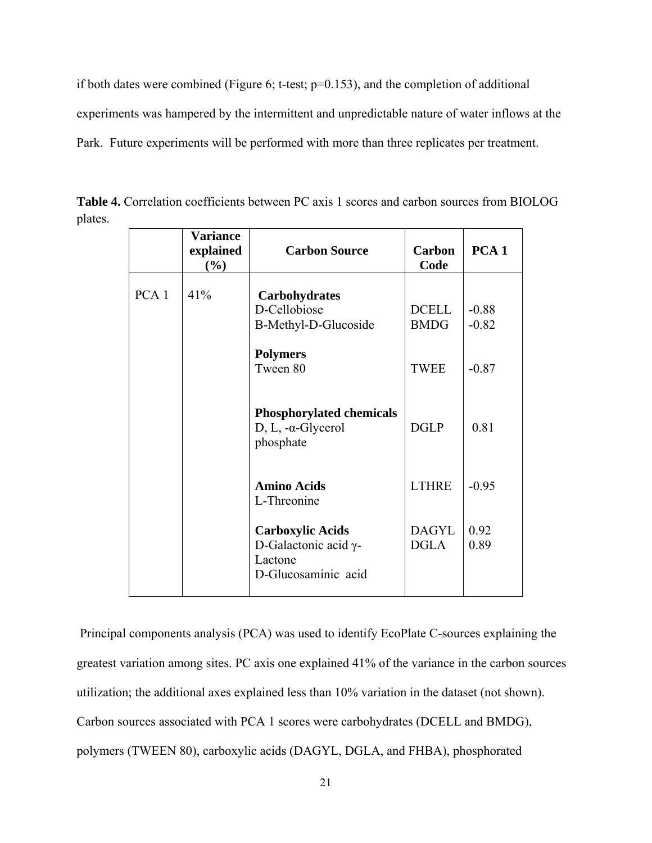if both dates were combined (Figure 6; t-test; p=0.153), and the completion of additional experiments was hampered by the intermittent and unpredictable nature of water inflows at the Park. Future experiments will be performed with more than three replicates per treatment.

|                  | <b>Variance</b><br>explained<br>$(\%)$ | <b>Carbon Source</b>                                                                      | Carbon<br>Code              | PCA <sub>1</sub>   |
|------------------|----------------------------------------|-------------------------------------------------------------------------------------------|-----------------------------|--------------------|
| PCA <sub>1</sub> | 41%                                    | <b>Carbohydrates</b><br>D-Cellobiose<br>B-Methyl-D-Glucoside                              | <b>DCELL</b><br><b>BMDG</b> | $-0.88$<br>$-0.82$ |
|                  |                                        | <b>Polymers</b><br>Tween 80                                                               | <b>TWEE</b>                 | $-0.87$            |
|                  |                                        | <b>Phosphorylated chemicals</b><br>D, L, $-\alpha$ -Glycerol<br>phosphate                 | <b>DGLP</b>                 | 0.81               |
|                  |                                        | <b>Amino Acids</b><br>L-Threonine                                                         | <b>LTHRE</b>                | $-0.95$            |
|                  |                                        | <b>Carboxylic Acids</b><br>D-Galactonic acid $\gamma$ -<br>Lactone<br>D-Glucosaminic acid | <b>DAGYL</b><br><b>DGLA</b> | 0.92<br>0.89       |

**Table 4.** Correlation coefficients between PC axis 1 scores and carbon sources from BIOLOG plates.

 Principal components analysis (PCA) was used to identify EcoPlate C-sources explaining the greatest variation among sites. PC axis one explained 41% of the variance in the carbon sources utilization; the additional axes explained less than 10% variation in the dataset (not shown). Carbon sources associated with PCA 1 scores were carbohydrates (DCELL and BMDG), polymers (TWEEN 80), carboxylic acids (DAGYL, DGLA, and FHBA), phosphorated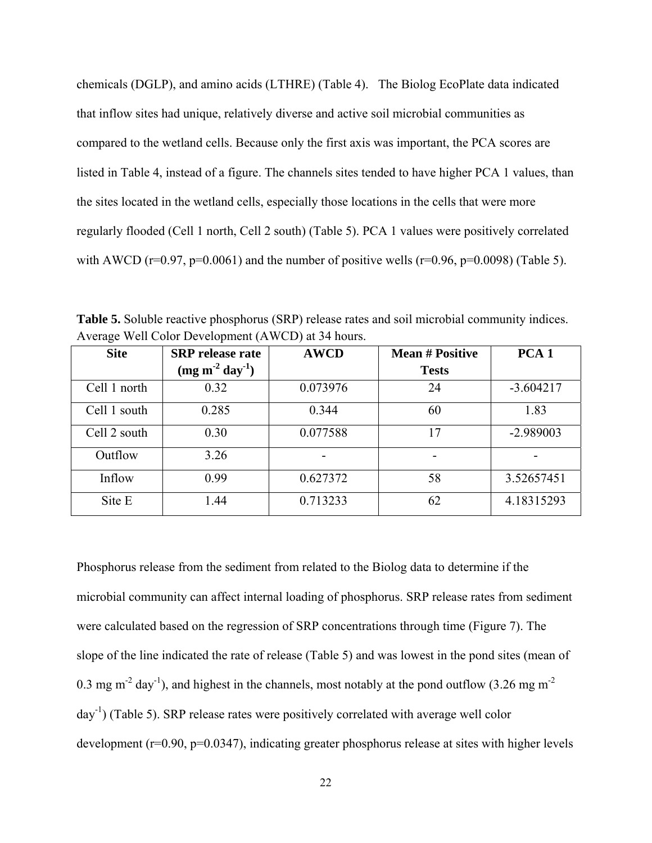chemicals (DGLP), and amino acids (LTHRE) (Table 4). The Biolog EcoPlate data indicated that inflow sites had unique, relatively diverse and active soil microbial communities as compared to the wetland cells. Because only the first axis was important, the PCA scores are listed in Table 4, instead of a figure. The channels sites tended to have higher PCA 1 values, than the sites located in the wetland cells, especially those locations in the cells that were more regularly flooded (Cell 1 north, Cell 2 south) (Table 5). PCA 1 values were positively correlated with AWCD ( $r=0.97$ ,  $p=0.0061$ ) and the number of positive wells ( $r=0.96$ ,  $p=0.0098$ ) (Table 5).

| - - <del>- - - - - -</del> |                                             |             |                                        |                  |  |
|----------------------------|---------------------------------------------|-------------|----------------------------------------|------------------|--|
| <b>Site</b>                | <b>SRP</b> release rate<br>$(mg m-2 day-1)$ | <b>AWCD</b> | <b>Mean # Positive</b><br><b>Tests</b> | PCA <sub>1</sub> |  |
| Cell 1 north               | 0.32                                        | 0.073976    | 24                                     | $-3.604217$      |  |
| Cell 1 south               | 0.285                                       | 0.344       | 60                                     | 1.83             |  |
| Cell 2 south               | 0.30                                        | 0.077588    | 17                                     | -2.989003        |  |
| Outflow                    | 3.26                                        |             |                                        |                  |  |
| Inflow                     | 0.99                                        | 0.627372    | 58                                     | 3.52657451       |  |
| Site E                     | 1.44                                        | 0.713233    | 62                                     | 4.18315293       |  |

**Table 5.** Soluble reactive phosphorus (SRP) release rates and soil microbial community indices. Average Well Color Development (AWCD) at 34 hours.

Phosphorus release from the sediment from related to the Biolog data to determine if the microbial community can affect internal loading of phosphorus. SRP release rates from sediment were calculated based on the regression of SRP concentrations through time (Figure 7). The slope of the line indicated the rate of release (Table 5) and was lowest in the pond sites (mean of 0.3 mg m<sup>-2</sup> day<sup>-1</sup>), and highest in the channels, most notably at the pond outflow (3.26 mg m<sup>-2</sup>  $day^{-1}$ ) (Table 5). SRP release rates were positively correlated with average well color development (r=0.90, p=0.0347), indicating greater phosphorus release at sites with higher levels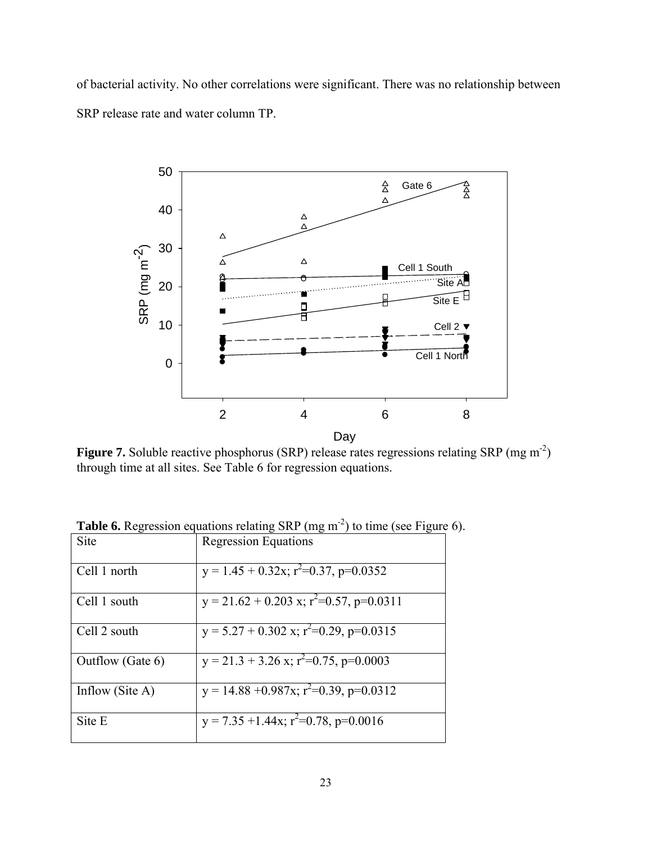of bacterial activity. No other correlations were significant. There was no relationship between SRP release rate and water column TP.



**Figure 7.** Soluble reactive phosphorus (SRP) release rates regressions relating SRP (mg m<sup>-2</sup>) through time at all sites. See Table 6 for regression equations.

| Site               | <b>Regression Equations</b>                                    |
|--------------------|----------------------------------------------------------------|
| Cell 1 north       | $\overline{y} = 1.45 + 0.32x$ ; r <sup>2</sup> =0.37, p=0.0352 |
| Cell 1 south       | $y = 21.62 + 0.203$ x; $r^2 = 0.57$ , $p = 0.0311$             |
| Cell 2 south       | y = $5.27 + 0.302$ x; $r^2 = 0.29$ , p= $0.0315$               |
| Outflow (Gate 6)   | y = 21.3 + 3.26 x; $r^2$ = 0.75, p=0.0003                      |
| Inflow (Site $A$ ) | $y = 14.88 + 0.987x$ ; $r^2 = 0.39$ , $p = 0.0312$             |
| Site E             | y = 7.35 +1.44x; $r^2$ =0.78, p=0.0016                         |

**Table 6.** Regression equations relating SRP (mg m<sup>-2</sup>) to time (see Figure 6).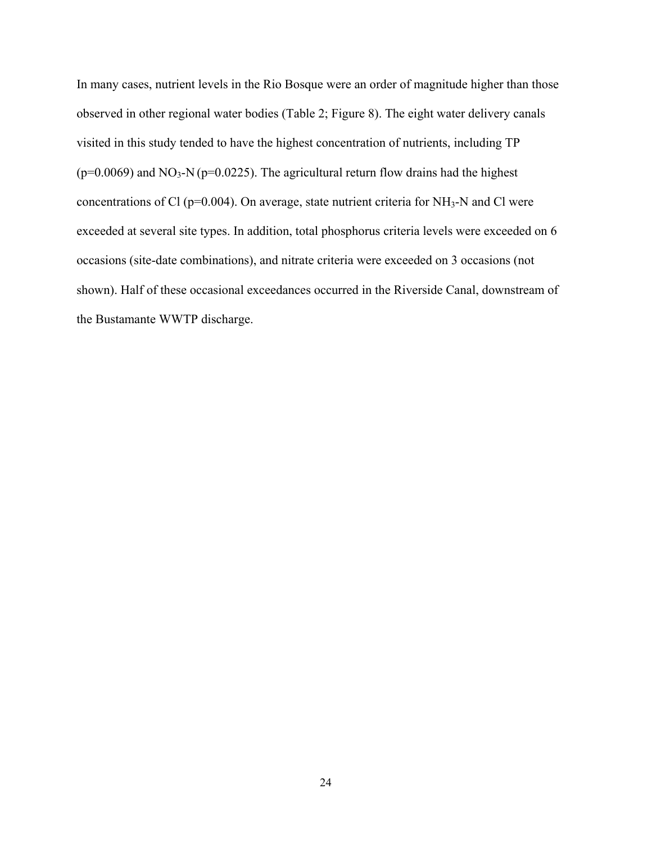In many cases, nutrient levels in the Rio Bosque were an order of magnitude higher than those observed in other regional water bodies (Table 2; Figure 8). The eight water delivery canals visited in this study tended to have the highest concentration of nutrients, including TP ( $p=0.0069$ ) and NO<sub>3</sub>-N ( $p=0.0225$ ). The agricultural return flow drains had the highest concentrations of Cl ( $p=0.004$ ). On average, state nutrient criteria for NH<sub>3</sub>-N and Cl were exceeded at several site types. In addition, total phosphorus criteria levels were exceeded on 6 occasions (site-date combinations), and nitrate criteria were exceeded on 3 occasions (not shown). Half of these occasional exceedances occurred in the Riverside Canal, downstream of the Bustamante WWTP discharge.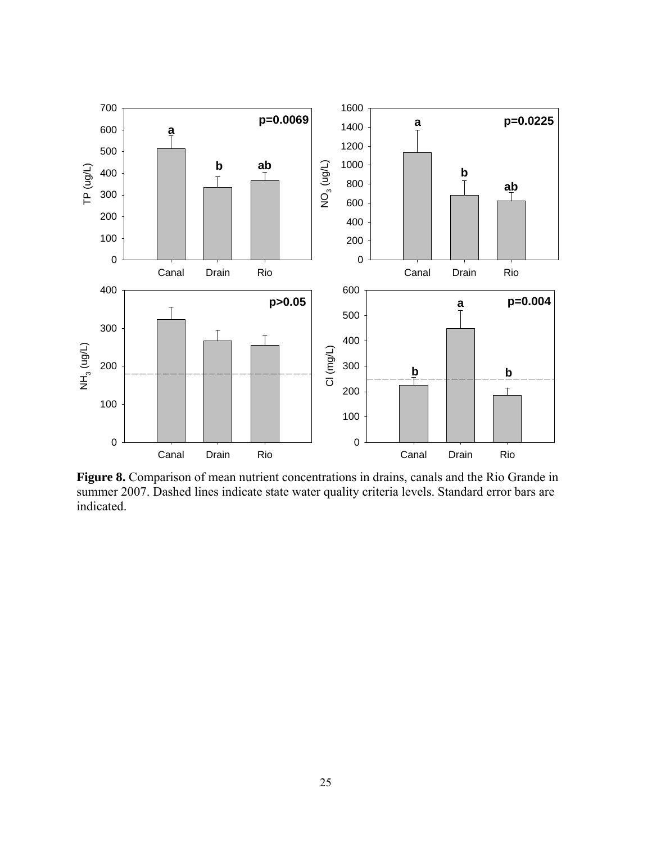

**Figure 8.** Comparison of mean nutrient concentrations in drains, canals and the Rio Grande in summer 2007. Dashed lines indicate state water quality criteria levels. Standard error bars are indicated.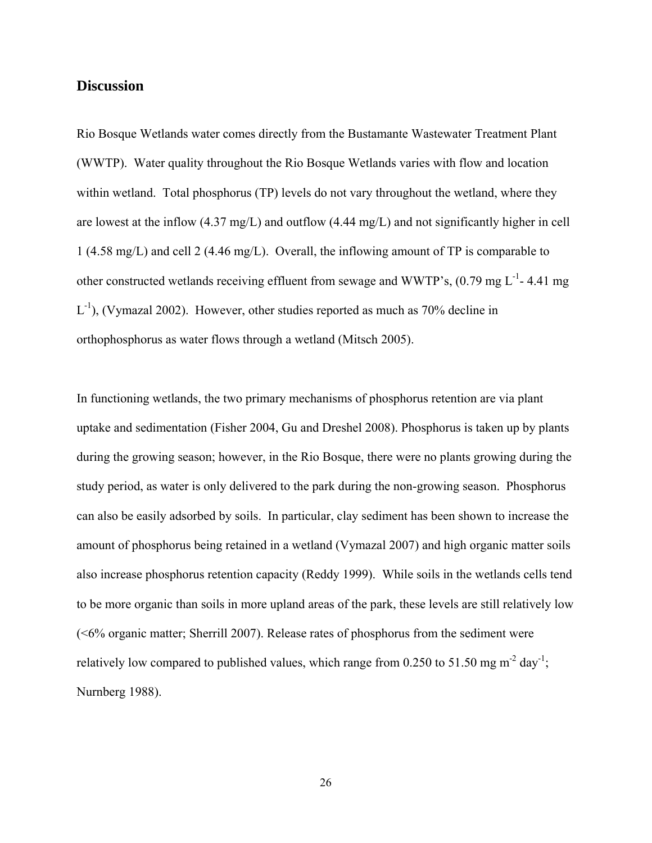#### **Discussion**

Rio Bosque Wetlands water comes directly from the Bustamante Wastewater Treatment Plant (WWTP). Water quality throughout the Rio Bosque Wetlands varies with flow and location within wetland. Total phosphorus (TP) levels do not vary throughout the wetland, where they are lowest at the inflow (4.37 mg/L) and outflow (4.44 mg/L) and not significantly higher in cell 1 (4.58 mg/L) and cell 2 (4.46 mg/L). Overall, the inflowing amount of TP is comparable to other constructed wetlands receiving effluent from sewage and WWTP's,  $(0.79 \text{ mg L}^{-1}$ -4.41 mg  $L^{-1}$ ), (Vymazal 2002). However, other studies reported as much as 70% decline in orthophosphorus as water flows through a wetland (Mitsch 2005).

In functioning wetlands, the two primary mechanisms of phosphorus retention are via plant uptake and sedimentation (Fisher 2004, Gu and Dreshel 2008). Phosphorus is taken up by plants during the growing season; however, in the Rio Bosque, there were no plants growing during the study period, as water is only delivered to the park during the non-growing season. Phosphorus can also be easily adsorbed by soils. In particular, clay sediment has been shown to increase the amount of phosphorus being retained in a wetland (Vymazal 2007) and high organic matter soils also increase phosphorus retention capacity (Reddy 1999). While soils in the wetlands cells tend to be more organic than soils in more upland areas of the park, these levels are still relatively low (<6% organic matter; Sherrill 2007). Release rates of phosphorus from the sediment were relatively low compared to published values, which range from 0.250 to 51.50 mg m<sup>-2</sup> day<sup>-1</sup>; Nurnberg 1988).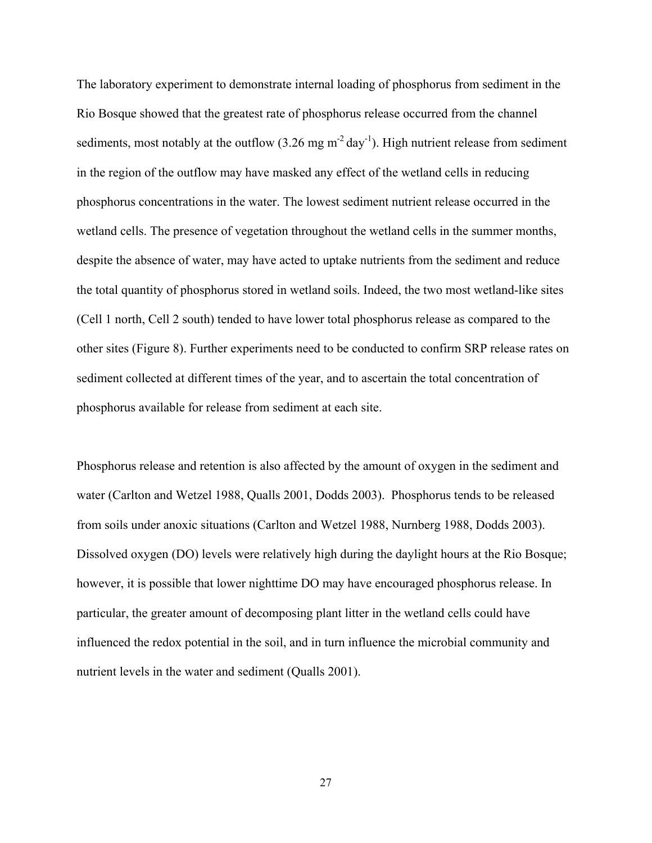The laboratory experiment to demonstrate internal loading of phosphorus from sediment in the Rio Bosque showed that the greatest rate of phosphorus release occurred from the channel sediments, most notably at the outflow  $(3.26 \text{ mg m}^2 \text{ day}^1)$ . High nutrient release from sediment in the region of the outflow may have masked any effect of the wetland cells in reducing phosphorus concentrations in the water. The lowest sediment nutrient release occurred in the wetland cells. The presence of vegetation throughout the wetland cells in the summer months, despite the absence of water, may have acted to uptake nutrients from the sediment and reduce the total quantity of phosphorus stored in wetland soils. Indeed, the two most wetland-like sites (Cell 1 north, Cell 2 south) tended to have lower total phosphorus release as compared to the other sites (Figure 8). Further experiments need to be conducted to confirm SRP release rates on sediment collected at different times of the year, and to ascertain the total concentration of phosphorus available for release from sediment at each site.

Phosphorus release and retention is also affected by the amount of oxygen in the sediment and water (Carlton and Wetzel 1988, Qualls 2001, Dodds 2003). Phosphorus tends to be released from soils under anoxic situations (Carlton and Wetzel 1988, Nurnberg 1988, Dodds 2003). Dissolved oxygen (DO) levels were relatively high during the daylight hours at the Rio Bosque; however, it is possible that lower nighttime DO may have encouraged phosphorus release. In particular, the greater amount of decomposing plant litter in the wetland cells could have influenced the redox potential in the soil, and in turn influence the microbial community and nutrient levels in the water and sediment (Qualls 2001).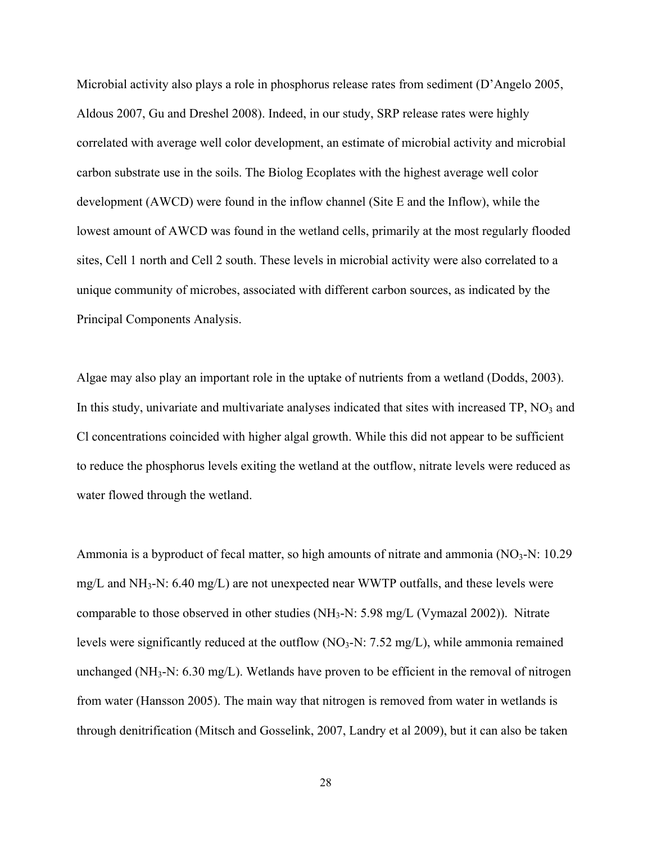Microbial activity also plays a role in phosphorus release rates from sediment (D'Angelo 2005, Aldous 2007, Gu and Dreshel 2008). Indeed, in our study, SRP release rates were highly correlated with average well color development, an estimate of microbial activity and microbial carbon substrate use in the soils. The Biolog Ecoplates with the highest average well color development (AWCD) were found in the inflow channel (Site E and the Inflow), while the lowest amount of AWCD was found in the wetland cells, primarily at the most regularly flooded sites, Cell 1 north and Cell 2 south. These levels in microbial activity were also correlated to a unique community of microbes, associated with different carbon sources, as indicated by the Principal Components Analysis.

Algae may also play an important role in the uptake of nutrients from a wetland (Dodds, 2003). In this study, univariate and multivariate analyses indicated that sites with increased  $TP$ ,  $NO<sub>3</sub>$  and Cl concentrations coincided with higher algal growth. While this did not appear to be sufficient to reduce the phosphorus levels exiting the wetland at the outflow, nitrate levels were reduced as water flowed through the wetland.

Ammonia is a byproduct of fecal matter, so high amounts of nitrate and ammonia  $(NO<sub>3</sub>-N: 10.29)$ mg/L and NH<sub>3</sub>-N: 6.40 mg/L) are not unexpected near WWTP outfalls, and these levels were comparable to those observed in other studies (NH3-N: 5.98 mg/L (Vymazal 2002)). Nitrate levels were significantly reduced at the outflow  $(NO<sub>3</sub>-N: 7.52 mg/L)$ , while ammonia remained unchanged (NH<sub>3</sub>-N: 6.30 mg/L). Wetlands have proven to be efficient in the removal of nitrogen from water (Hansson 2005). The main way that nitrogen is removed from water in wetlands is through denitrification (Mitsch and Gosselink, 2007, Landry et al 2009), but it can also be taken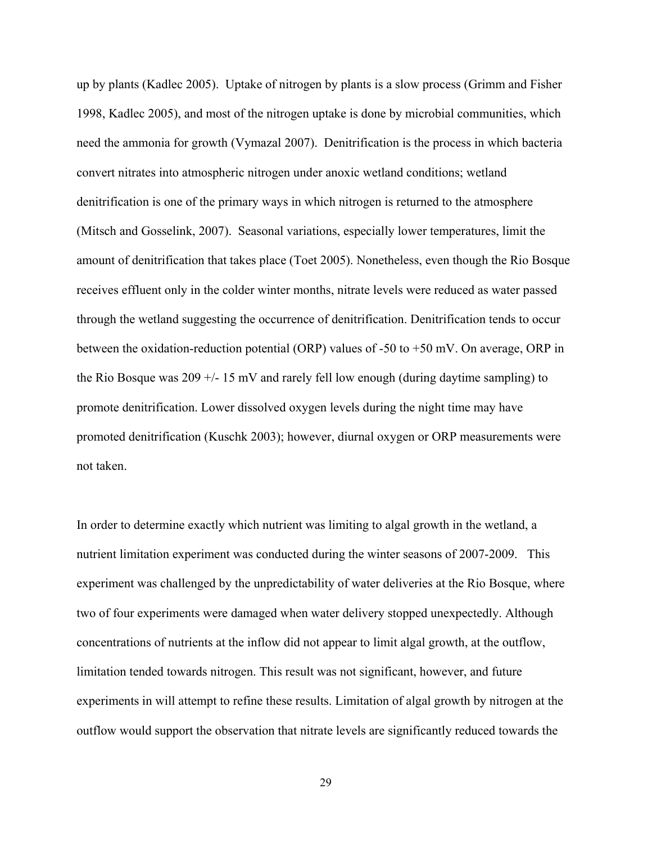up by plants (Kadlec 2005). Uptake of nitrogen by plants is a slow process (Grimm and Fisher 1998, Kadlec 2005), and most of the nitrogen uptake is done by microbial communities, which need the ammonia for growth (Vymazal 2007). Denitrification is the process in which bacteria convert nitrates into atmospheric nitrogen under anoxic wetland conditions; wetland denitrification is one of the primary ways in which nitrogen is returned to the atmosphere (Mitsch and Gosselink, 2007). Seasonal variations, especially lower temperatures, limit the amount of denitrification that takes place (Toet 2005). Nonetheless, even though the Rio Bosque receives effluent only in the colder winter months, nitrate levels were reduced as water passed through the wetland suggesting the occurrence of denitrification. Denitrification tends to occur between the oxidation-reduction potential (ORP) values of -50 to +50 mV. On average, ORP in the Rio Bosque was  $209 +115$  mV and rarely fell low enough (during daytime sampling) to promote denitrification. Lower dissolved oxygen levels during the night time may have promoted denitrification (Kuschk 2003); however, diurnal oxygen or ORP measurements were not taken.

In order to determine exactly which nutrient was limiting to algal growth in the wetland, a nutrient limitation experiment was conducted during the winter seasons of 2007-2009. This experiment was challenged by the unpredictability of water deliveries at the Rio Bosque, where two of four experiments were damaged when water delivery stopped unexpectedly. Although concentrations of nutrients at the inflow did not appear to limit algal growth, at the outflow, limitation tended towards nitrogen. This result was not significant, however, and future experiments in will attempt to refine these results. Limitation of algal growth by nitrogen at the outflow would support the observation that nitrate levels are significantly reduced towards the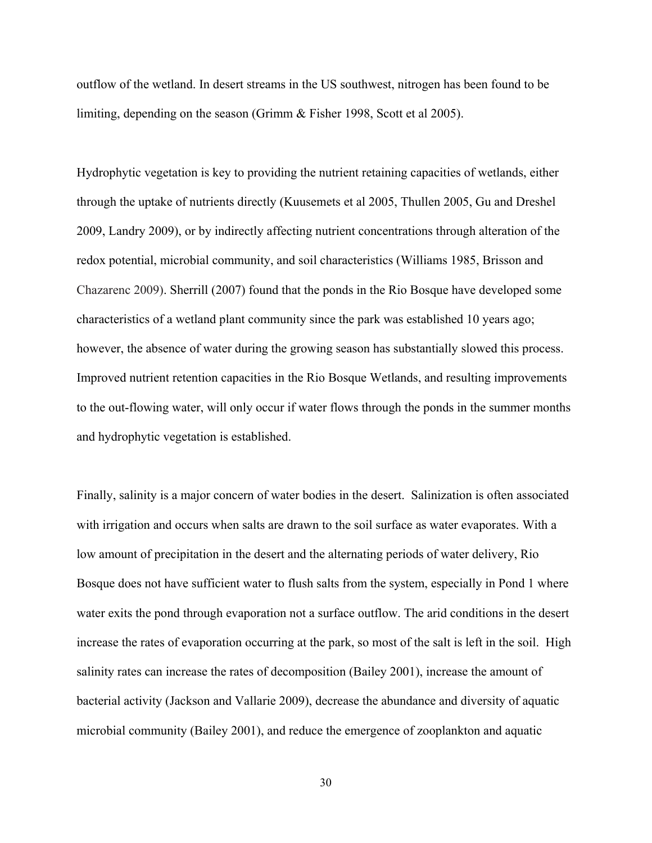outflow of the wetland. In desert streams in the US southwest, nitrogen has been found to be limiting, depending on the season (Grimm & Fisher 1998, Scott et al 2005).

Hydrophytic vegetation is key to providing the nutrient retaining capacities of wetlands, either through the uptake of nutrients directly (Kuusemets et al 2005, Thullen 2005, Gu and Dreshel 2009, Landry 2009), or by indirectly affecting nutrient concentrations through alteration of the redox potential, microbial community, and soil characteristics (Williams 1985, Brisson and Chazarenc 2009). Sherrill (2007) found that the ponds in the Rio Bosque have developed some characteristics of a wetland plant community since the park was established 10 years ago; however, the absence of water during the growing season has substantially slowed this process. Improved nutrient retention capacities in the Rio Bosque Wetlands, and resulting improvements to the out-flowing water, will only occur if water flows through the ponds in the summer months and hydrophytic vegetation is established.

Finally, salinity is a major concern of water bodies in the desert. Salinization is often associated with irrigation and occurs when salts are drawn to the soil surface as water evaporates. With a low amount of precipitation in the desert and the alternating periods of water delivery, Rio Bosque does not have sufficient water to flush salts from the system, especially in Pond 1 where water exits the pond through evaporation not a surface outflow. The arid conditions in the desert increase the rates of evaporation occurring at the park, so most of the salt is left in the soil. High salinity rates can increase the rates of decomposition (Bailey 2001), increase the amount of bacterial activity (Jackson and Vallarie 2009), decrease the abundance and diversity of aquatic microbial community (Bailey 2001), and reduce the emergence of zooplankton and aquatic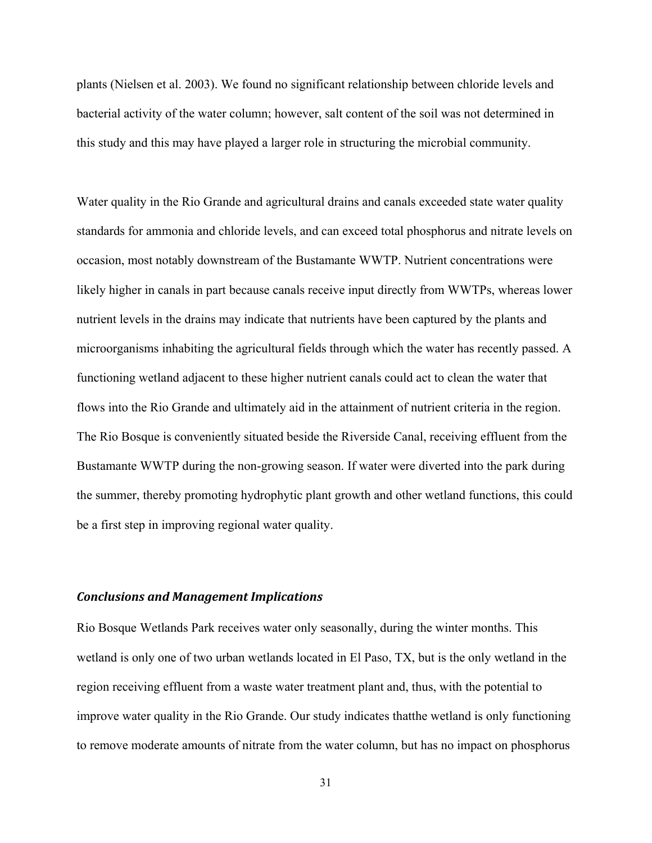plants (Nielsen et al. 2003). We found no significant relationship between chloride levels and bacterial activity of the water column; however, salt content of the soil was not determined in this study and this may have played a larger role in structuring the microbial community.

Water quality in the Rio Grande and agricultural drains and canals exceeded state water quality standards for ammonia and chloride levels, and can exceed total phosphorus and nitrate levels on occasion, most notably downstream of the Bustamante WWTP. Nutrient concentrations were likely higher in canals in part because canals receive input directly from WWTPs, whereas lower nutrient levels in the drains may indicate that nutrients have been captured by the plants and microorganisms inhabiting the agricultural fields through which the water has recently passed. A functioning wetland adjacent to these higher nutrient canals could act to clean the water that flows into the Rio Grande and ultimately aid in the attainment of nutrient criteria in the region. The Rio Bosque is conveniently situated beside the Riverside Canal, receiving effluent from the Bustamante WWTP during the non-growing season. If water were diverted into the park during the summer, thereby promoting hydrophytic plant growth and other wetland functions, this could be a first step in improving regional water quality.

#### *Conclusions and Management Implications*

Rio Bosque Wetlands Park receives water only seasonally, during the winter months. This wetland is only one of two urban wetlands located in El Paso, TX, but is the only wetland in the region receiving effluent from a waste water treatment plant and, thus, with the potential to improve water quality in the Rio Grande. Our study indicates thatthe wetland is only functioning to remove moderate amounts of nitrate from the water column, but has no impact on phosphorus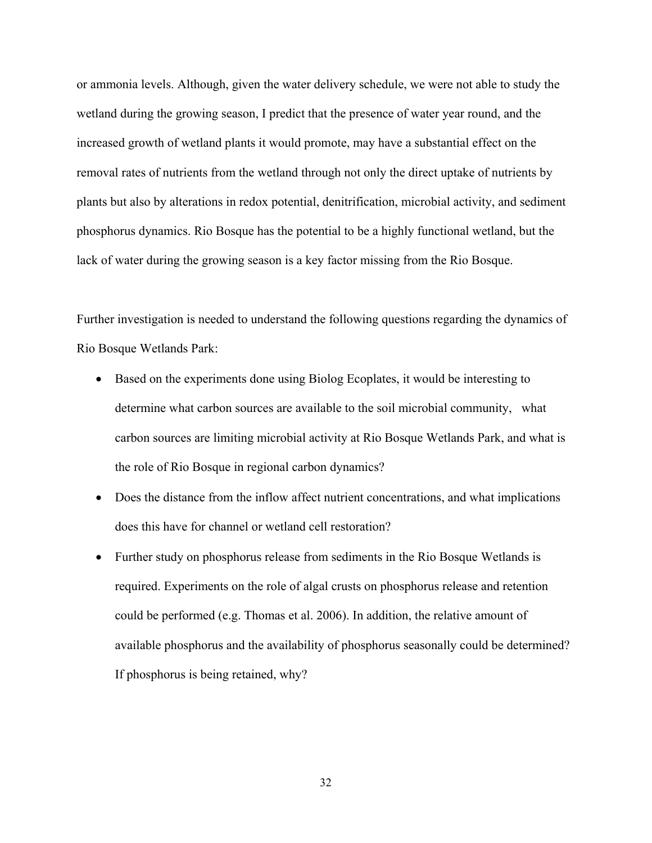or ammonia levels. Although, given the water delivery schedule, we were not able to study the wetland during the growing season, I predict that the presence of water year round, and the increased growth of wetland plants it would promote, may have a substantial effect on the removal rates of nutrients from the wetland through not only the direct uptake of nutrients by plants but also by alterations in redox potential, denitrification, microbial activity, and sediment phosphorus dynamics. Rio Bosque has the potential to be a highly functional wetland, but the lack of water during the growing season is a key factor missing from the Rio Bosque.

Further investigation is needed to understand the following questions regarding the dynamics of Rio Bosque Wetlands Park:

- Based on the experiments done using Biolog Ecoplates, it would be interesting to determine what carbon sources are available to the soil microbial community, what carbon sources are limiting microbial activity at Rio Bosque Wetlands Park, and what is the role of Rio Bosque in regional carbon dynamics?
- Does the distance from the inflow affect nutrient concentrations, and what implications does this have for channel or wetland cell restoration?
- Further study on phosphorus release from sediments in the Rio Bosque Wetlands is required. Experiments on the role of algal crusts on phosphorus release and retention could be performed (e.g. Thomas et al. 2006). In addition, the relative amount of available phosphorus and the availability of phosphorus seasonally could be determined? If phosphorus is being retained, why?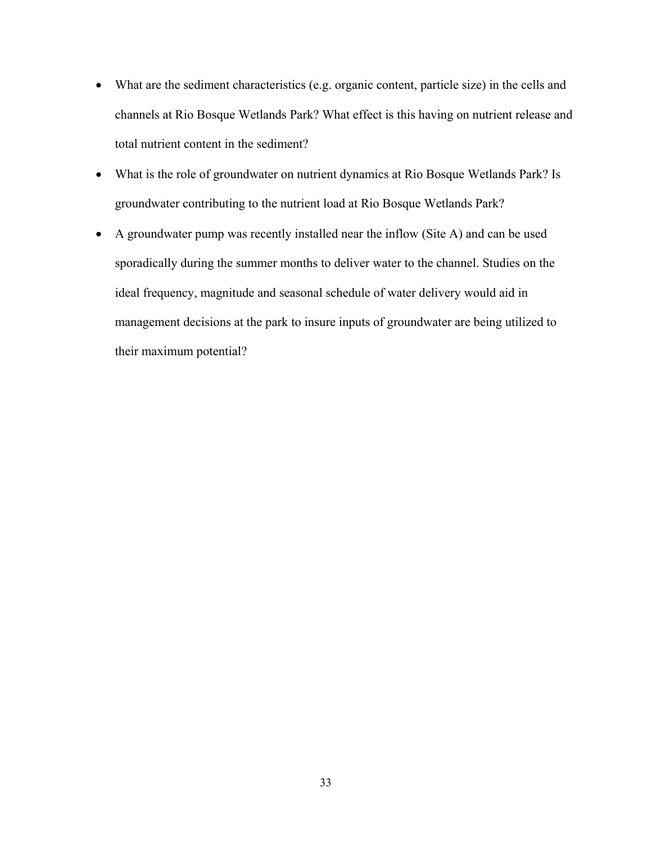- What are the sediment characteristics (e.g. organic content, particle size) in the cells and channels at Rio Bosque Wetlands Park? What effect is this having on nutrient release and total nutrient content in the sediment?
- What is the role of groundwater on nutrient dynamics at Rio Bosque Wetlands Park? Is groundwater contributing to the nutrient load at Rio Bosque Wetlands Park?
- A groundwater pump was recently installed near the inflow (Site A) and can be used sporadically during the summer months to deliver water to the channel. Studies on the ideal frequency, magnitude and seasonal schedule of water delivery would aid in management decisions at the park to insure inputs of groundwater are being utilized to their maximum potential?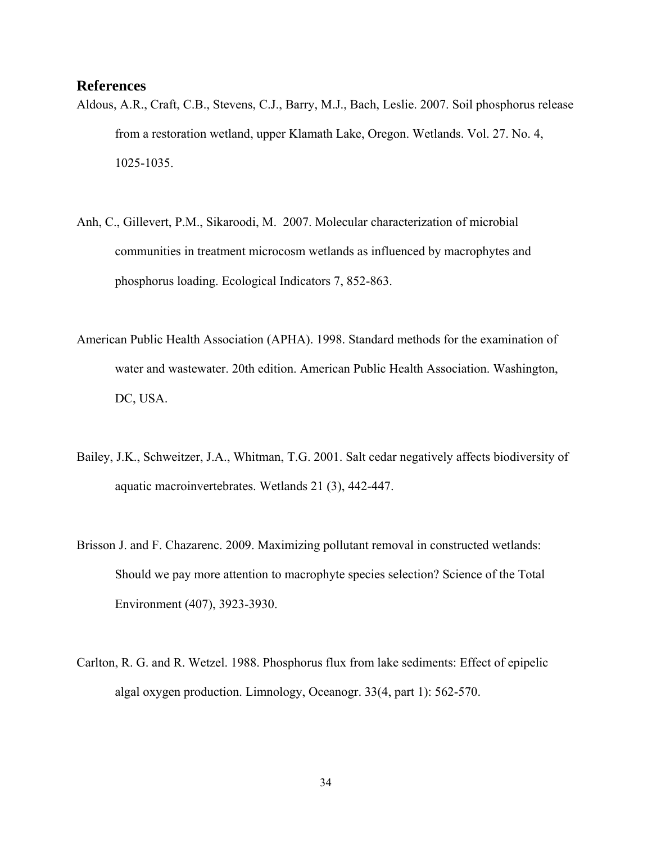#### **References**

- Aldous, A.R., Craft, C.B., Stevens, C.J., Barry, M.J., Bach, Leslie. 2007. Soil phosphorus release from a restoration wetland, upper Klamath Lake, Oregon. Wetlands. Vol. 27. No. 4, 1025-1035.
- Anh, C., Gillevert, P.M., Sikaroodi, M. 2007. Molecular characterization of microbial communities in treatment microcosm wetlands as influenced by macrophytes and phosphorus loading. Ecological Indicators 7, 852-863.
- American Public Health Association (APHA). 1998. Standard methods for the examination of water and wastewater. 20th edition. American Public Health Association. Washington, DC, USA.
- Bailey, J.K., Schweitzer, J.A., Whitman, T.G. 2001. Salt cedar negatively affects biodiversity of aquatic macroinvertebrates. Wetlands 21 (3), 442-447.
- Brisson J. and F. Chazarenc. 2009. Maximizing pollutant removal in constructed wetlands: Should we pay more attention to macrophyte species selection? Science of the Total Environment (407), 3923-3930.
- Carlton, R. G. and R. Wetzel. 1988. Phosphorus flux from lake sediments: Effect of epipelic algal oxygen production. Limnology, Oceanogr. 33(4, part 1): 562-570.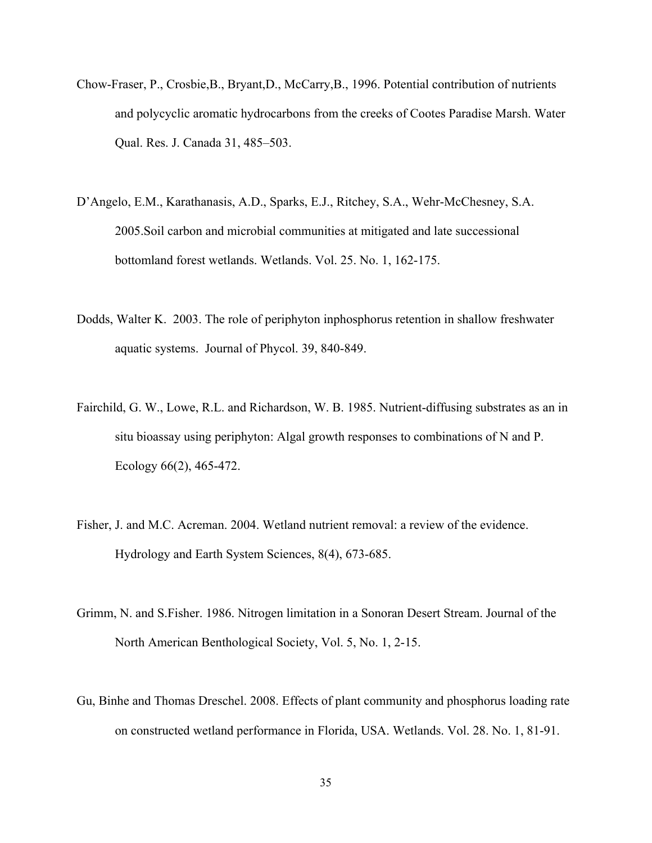- Chow-Fraser, P., Crosbie,B., Bryant,D., McCarry,B., 1996. Potential contribution of nutrients and polycyclic aromatic hydrocarbons from the creeks of Cootes Paradise Marsh. Water Qual. Res. J. Canada 31, 485–503.
- D'Angelo, E.M., Karathanasis, A.D., Sparks, E.J., Ritchey, S.A., Wehr-McChesney, S.A. 2005.Soil carbon and microbial communities at mitigated and late successional bottomland forest wetlands. Wetlands. Vol. 25. No. 1, 162-175.
- Dodds, Walter K. 2003. The role of periphyton inphosphorus retention in shallow freshwater aquatic systems. Journal of Phycol. 39, 840-849.
- Fairchild, G. W., Lowe, R.L. and Richardson, W. B. 1985. Nutrient-diffusing substrates as an in situ bioassay using periphyton: Algal growth responses to combinations of N and P. Ecology 66(2), 465-472.
- Fisher, J. and M.C. Acreman. 2004. Wetland nutrient removal: a review of the evidence. Hydrology and Earth System Sciences, 8(4), 673-685.
- Grimm, N. and S.Fisher. 1986. Nitrogen limitation in a Sonoran Desert Stream. Journal of the North American Benthological Society, Vol. 5, No. 1, 2-15.
- Gu, Binhe and Thomas Dreschel. 2008. Effects of plant community and phosphorus loading rate on constructed wetland performance in Florida, USA. Wetlands. Vol. 28. No. 1, 81-91.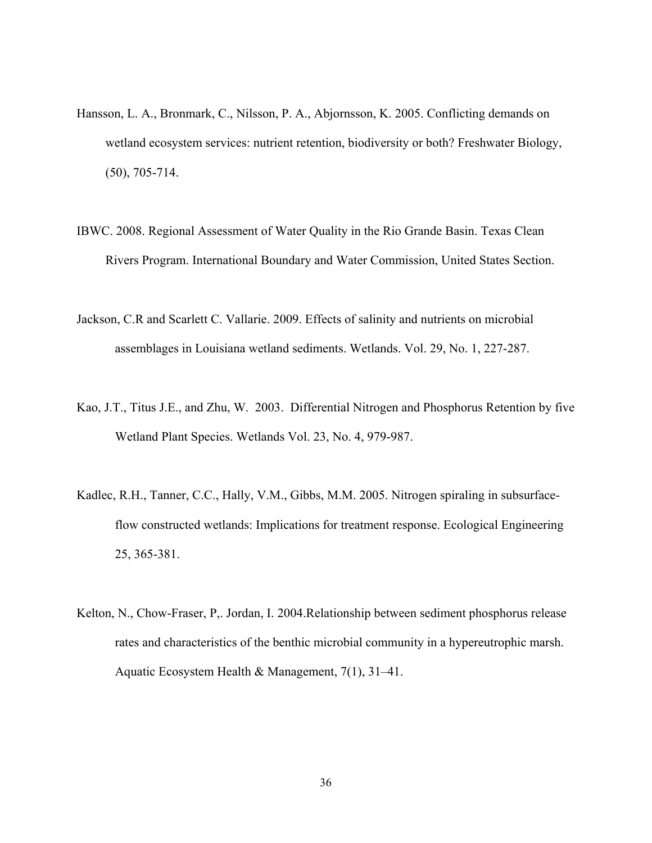- Hansson, L. A., Bronmark, C., Nilsson, P. A., Abjornsson, K. 2005. Conflicting demands on wetland ecosystem services: nutrient retention, biodiversity or both? Freshwater Biology, (50), 705-714.
- IBWC. 2008. Regional Assessment of Water Quality in the Rio Grande Basin. Texas Clean Rivers Program. International Boundary and Water Commission, United States Section.
- Jackson, C.R and Scarlett C. Vallarie. 2009. Effects of salinity and nutrients on microbial assemblages in Louisiana wetland sediments. Wetlands. Vol. 29, No. 1, 227-287.
- Kao, J.T., Titus J.E., and Zhu, W. 2003. Differential Nitrogen and Phosphorus Retention by five Wetland Plant Species. Wetlands Vol. 23, No. 4, 979-987.
- Kadlec, R.H., Tanner, C.C., Hally, V.M., Gibbs, M.M. 2005. Nitrogen spiraling in subsurfaceflow constructed wetlands: Implications for treatment response. Ecological Engineering 25, 365-381.
- Kelton, N., Chow-Fraser, P,. Jordan, I. 2004.Relationship between sediment phosphorus release rates and characteristics of the benthic microbial community in a hypereutrophic marsh. Aquatic Ecosystem Health & Management, 7(1), 31–41.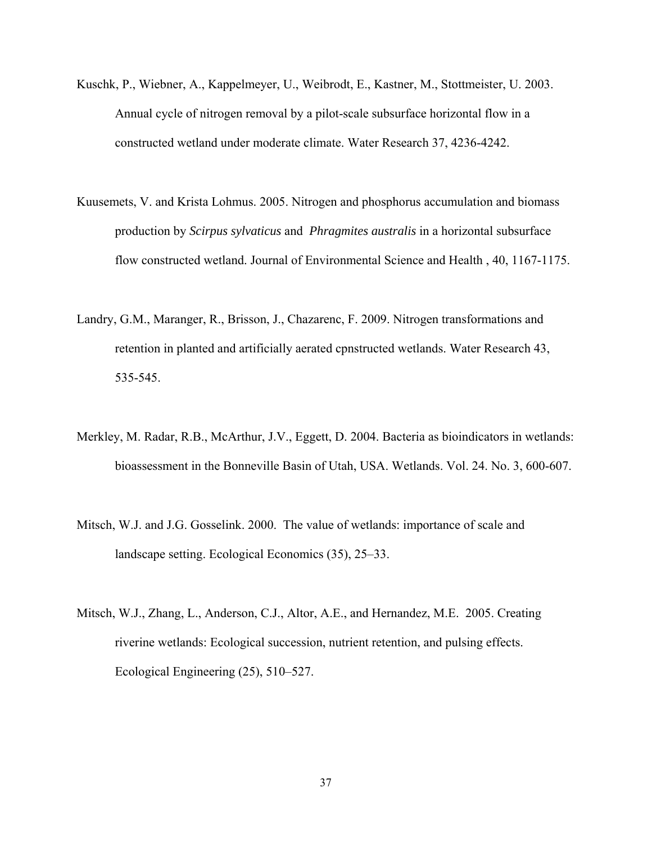- Kuschk, P., Wiebner, A., Kappelmeyer, U., Weibrodt, E., Kastner, M., Stottmeister, U. 2003. Annual cycle of nitrogen removal by a pilot-scale subsurface horizontal flow in a constructed wetland under moderate climate. Water Research 37, 4236-4242.
- Kuusemets, V. and Krista Lohmus. 2005. Nitrogen and phosphorus accumulation and biomass production by *Scirpus sylvaticus* and *Phragmites australis* in a horizontal subsurface flow constructed wetland. Journal of Environmental Science and Health , 40, 1167-1175.
- Landry, G.M., Maranger, R., Brisson, J., Chazarenc, F. 2009. Nitrogen transformations and retention in planted and artificially aerated cpnstructed wetlands. Water Research 43, 535-545.
- Merkley, M. Radar, R.B., McArthur, J.V., Eggett, D. 2004. Bacteria as bioindicators in wetlands: bioassessment in the Bonneville Basin of Utah, USA. Wetlands. Vol. 24. No. 3, 600-607.
- Mitsch, W.J. and J.G. Gosselink. 2000. The value of wetlands: importance of scale and landscape setting. Ecological Economics (35), 25–33.
- Mitsch, W.J., Zhang, L., Anderson, C.J., Altor, A.E., and Hernandez, M.E. 2005. Creating riverine wetlands: Ecological succession, nutrient retention, and pulsing effects. Ecological Engineering (25), 510–527.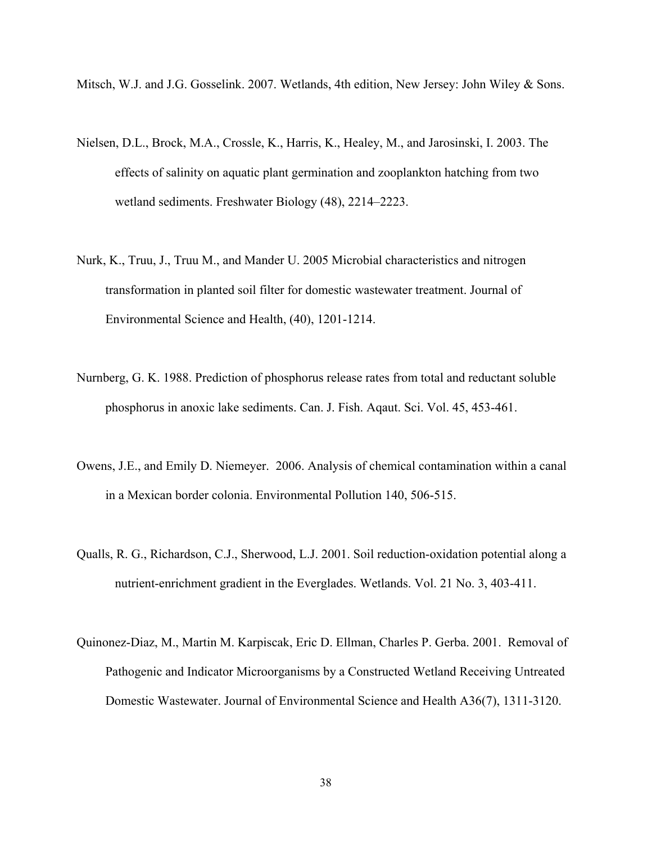Mitsch, W.J. and J.G. Gosselink. 2007. Wetlands, 4th edition, New Jersey: John Wiley & Sons.

- Nielsen, D.L., Brock, M.A., Crossle, K., Harris, K., Healey, M., and Jarosinski, I. 2003. The effects of salinity on aquatic plant germination and zooplankton hatching from two wetland sediments. Freshwater Biology (48), 2214–2223.
- Nurk, K., Truu, J., Truu M., and Mander U. 2005 Microbial characteristics and nitrogen transformation in planted soil filter for domestic wastewater treatment. Journal of Environmental Science and Health, (40), 1201-1214.
- Nurnberg, G. K. 1988. Prediction of phosphorus release rates from total and reductant soluble phosphorus in anoxic lake sediments. Can. J. Fish. Aqaut. Sci. Vol. 45, 453-461.
- Owens, J.E., and Emily D. Niemeyer. 2006. Analysis of chemical contamination within a canal in a Mexican border colonia. Environmental Pollution 140, 506-515.
- Qualls, R. G., Richardson, C.J., Sherwood, L.J. 2001. Soil reduction-oxidation potential along a nutrient-enrichment gradient in the Everglades. Wetlands. Vol. 21 No. 3, 403-411.
- Quinonez-Diaz, M., Martin M. Karpiscak, Eric D. Ellman, Charles P. Gerba. 2001. Removal of Pathogenic and Indicator Microorganisms by a Constructed Wetland Receiving Untreated Domestic Wastewater. Journal of Environmental Science and Health A36(7), 1311-3120.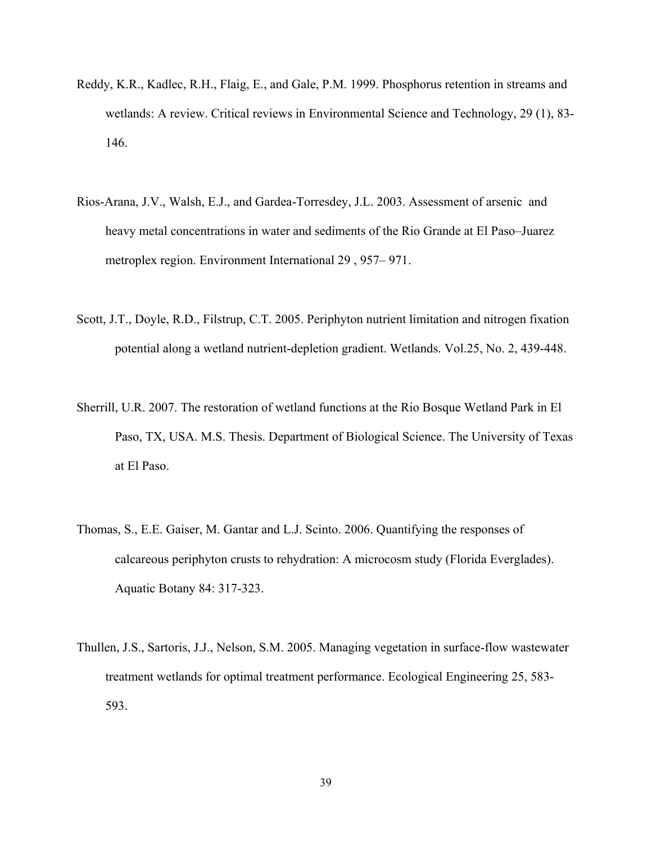- Reddy, K.R., Kadlec, R.H., Flaig, E., and Gale, P.M. 1999. Phosphorus retention in streams and wetlands: A review. Critical reviews in Environmental Science and Technology, 29 (1), 83- 146.
- Rios-Arana, J.V., Walsh, E.J., and Gardea-Torresdey, J.L. 2003. Assessment of arsenic and heavy metal concentrations in water and sediments of the Rio Grande at El Paso–Juarez metroplex region. Environment International 29 , 957– 971.
- Scott, J.T., Doyle, R.D., Filstrup, C.T. 2005. Periphyton nutrient limitation and nitrogen fixation potential along a wetland nutrient-depletion gradient. Wetlands. Vol.25, No. 2, 439-448.
- Sherrill, U.R. 2007. The restoration of wetland functions at the Rio Bosque Wetland Park in El Paso, TX, USA. M.S. Thesis. Department of Biological Science. The University of Texas at El Paso.
- Thomas, S., E.E. Gaiser, M. Gantar and L.J. Scinto. 2006. Quantifying the responses of calcareous periphyton crusts to rehydration: A microcosm study (Florida Everglades). Aquatic Botany 84: 317-323.
- Thullen, J.S., Sartoris, J.J., Nelson, S.M. 2005. Managing vegetation in surface-flow wastewater treatment wetlands for optimal treatment performance. Ecological Engineering 25, 583- 593.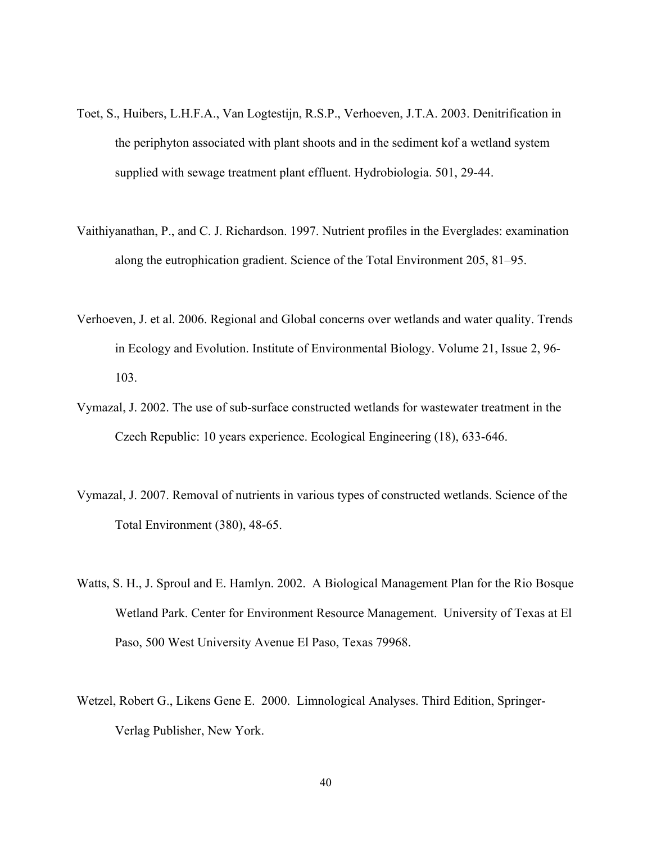- Toet, S., Huibers, L.H.F.A., Van Logtestijn, R.S.P., Verhoeven, J.T.A. 2003. Denitrification in the periphyton associated with plant shoots and in the sediment kof a wetland system supplied with sewage treatment plant effluent. Hydrobiologia. 501, 29-44.
- Vaithiyanathan, P., and C. J. Richardson. 1997. Nutrient profiles in the Everglades: examination along the eutrophication gradient. Science of the Total Environment 205, 81–95.
- Verhoeven, J. et al. 2006. Regional and Global concerns over wetlands and water quality. Trends in Ecology and Evolution. Institute of Environmental Biology. Volume 21, Issue 2, 96- 103.
- Vymazal, J. 2002. The use of sub-surface constructed wetlands for wastewater treatment in the Czech Republic: 10 years experience. Ecological Engineering (18), 633-646.
- Vymazal, J. 2007. Removal of nutrients in various types of constructed wetlands. Science of the Total Environment (380), 48-65.
- Watts, S. H., J. Sproul and E. Hamlyn. 2002. A Biological Management Plan for the Rio Bosque Wetland Park. Center for Environment Resource Management. University of Texas at El Paso, 500 West University Avenue El Paso, Texas 79968.
- Wetzel, Robert G., Likens Gene E. 2000. Limnological Analyses. Third Edition, Springer-Verlag Publisher, New York.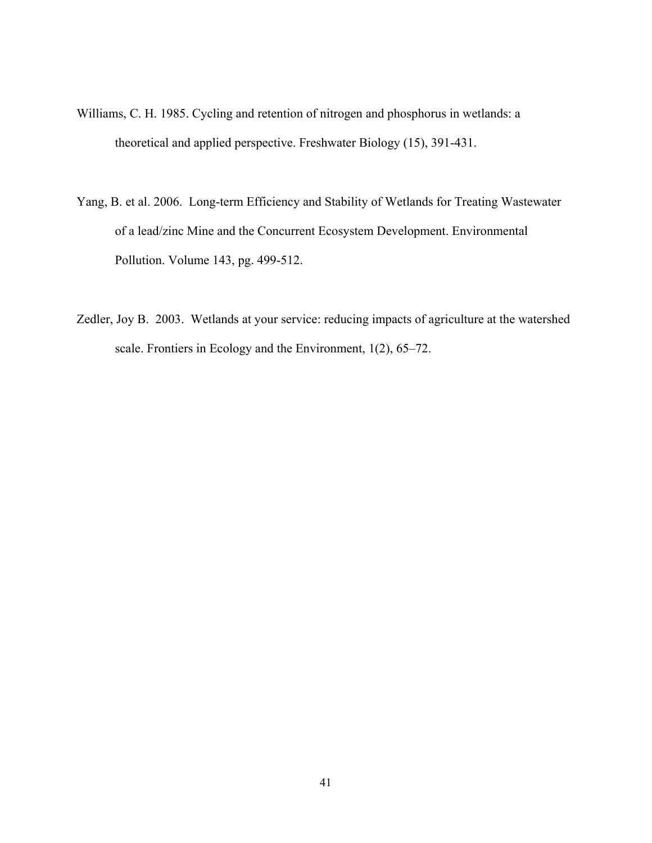- Williams, C. H. 1985. Cycling and retention of nitrogen and phosphorus in wetlands: a theoretical and applied perspective. Freshwater Biology (15), 391-431.
- Yang, B. et al. 2006. Long-term Efficiency and Stability of Wetlands for Treating Wastewater of a lead/zinc Mine and the Concurrent Ecosystem Development. Environmental Pollution. Volume 143, pg. 499-512.
- Zedler, Joy B. 2003. Wetlands at your service: reducing impacts of agriculture at the watershed scale. Frontiers in Ecology and the Environment, 1(2), 65–72.